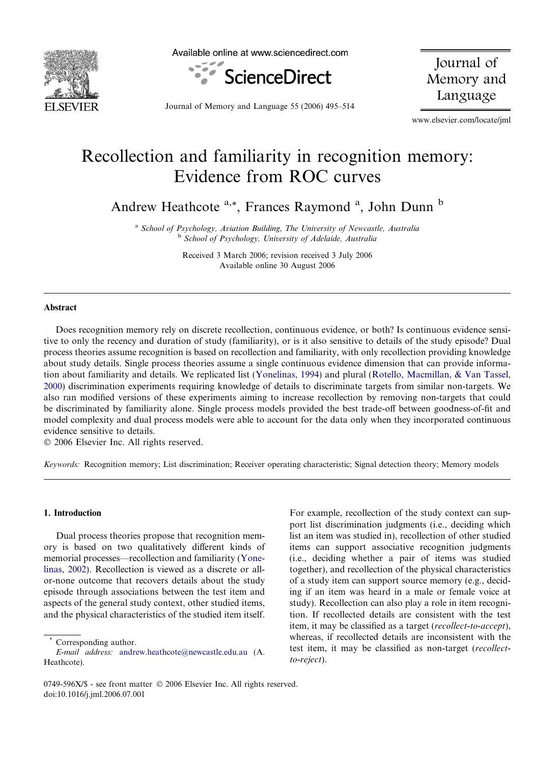

Available online at www.sciencedirect.com



Journal of Memory and Language

Journal of Memory and Language 55 (2006) 495–514

www.elsevier.com/locate/jml

# Recollection and familiarity in recognition memory: Evidence from ROC curves

Andrew Heathcote <sup>a,\*</sup>, Frances Raymond <sup>a</sup>, John Dunn <sup>b</sup>

<sup>a</sup> School of Psychology, Aviation Building, The University of Newcastle, Australia <sup>b</sup> School of Psychology, University of Adelaide, Australia

> Received 3 March 2006; revision received 3 July 2006 Available online 30 August 2006

## Abstract

Does recognition memory rely on discrete recollection, continuous evidence, or both? Is continuous evidence sensitive to only the recency and duration of study (familiarity), or is it also sensitive to details of the study episode? Dual process theories assume recognition is based on recollection and familiarity, with only recollection providing knowledge about study details. Single process theories assume a single continuous evidence dimension that can provide information about familiarity and details. We replicated list ([Yonelinas, 1994](#page-19-0)) and plural ([Rotello, Macmillan, & Van Tassel,](#page-19-0) [2000](#page-19-0)) discrimination experiments requiring knowledge of details to discriminate targets from similar non-targets. We also ran modified versions of these experiments aiming to increase recollection by removing non-targets that could be discriminated by familiarity alone. Single process models provided the best trade-off between goodness-of-fit and model complexity and dual process models were able to account for the data only when they incorporated continuous evidence sensitive to details.

 $© 2006 Elsevier Inc. All rights reserved.$ 

Keywords: Recognition memory; List discrimination; Receiver operating characteristic; Signal detection theory; Memory models

## 1. Introduction

Dual process theories propose that recognition memory is based on two qualitatively different kinds of memorial processes—recollection and familiarity [\(Yone](#page-19-0)[linas, 2002\)](#page-19-0). Recollection is viewed as a discrete or allor-none outcome that recovers details about the study episode through associations between the test item and aspects of the general study context, other studied items, and the physical characteristics of the studied item itself.

For example, recollection of the study context can support list discrimination judgments (i.e., deciding which list an item was studied in), recollection of other studied items can support associative recognition judgments (i.e., deciding whether a pair of items was studied together), and recollection of the physical characteristics of a study item can support source memory (e.g., deciding if an item was heard in a male or female voice at study). Recollection can also play a role in item recognition. If recollected details are consistent with the test item, it may be classified as a target (recollect-to-accept), whereas, if recollected details are inconsistent with the test item, it may be classified as non-target (recollectto-reject).

Corresponding author.

E-mail address: [andrew.heathcote@newcastle.edu.au](mailto:andrew.heathcote@newcastle.edu.au) (A. Heathcote).

<sup>0749-596</sup>X/\$ - see front matter © 2006 Elsevier Inc. All rights reserved. doi:10.1016/j.jml.2006.07.001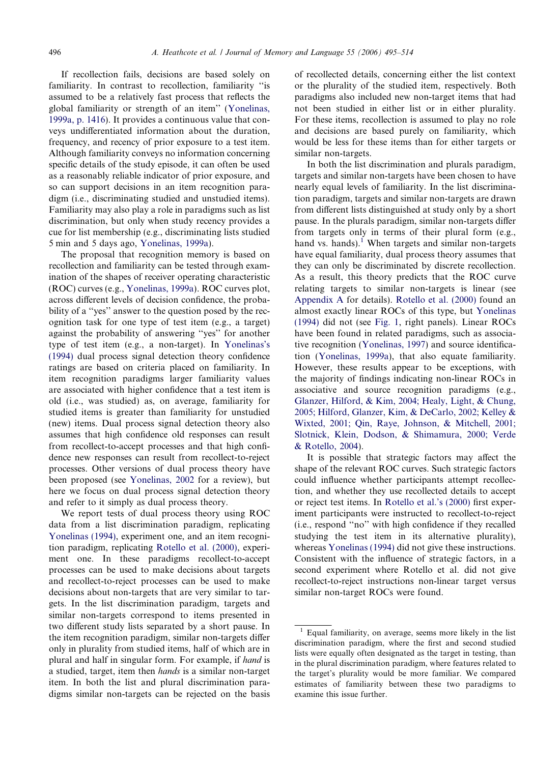If recollection fails, decisions are based solely on familiarity. In contrast to recollection, familiarity ''is assumed to be a relatively fast process that reflects the global familiarity or strength of an item'' ([Yonelinas,](#page-19-0) [1999a, p. 1416](#page-19-0)). It provides a continuous value that conveys undifferentiated information about the duration, frequency, and recency of prior exposure to a test item. Although familiarity conveys no information concerning specific details of the study episode, it can often be used as a reasonably reliable indicator of prior exposure, and so can support decisions in an item recognition paradigm (i.e., discriminating studied and unstudied items). Familiarity may also play a role in paradigms such as list discrimination, but only when study recency provides a cue for list membership (e.g., discriminating lists studied 5 min and 5 days ago, [Yonelinas, 1999a\)](#page-19-0).

The proposal that recognition memory is based on recollection and familiarity can be tested through examination of the shapes of receiver operating characteristic (ROC) curves (e.g., [Yonelinas, 1999a\)](#page-19-0). ROC curves plot, across different levels of decision confidence, the probability of a ''yes'' answer to the question posed by the recognition task for one type of test item (e.g., a target) against the probability of answering ''yes'' for another type of test item (e.g., a non-target). In [Yonelinas's](#page-19-0) [\(1994\)](#page-19-0) dual process signal detection theory confidence ratings are based on criteria placed on familiarity. In item recognition paradigms larger familiarity values are associated with higher confidence that a test item is old (i.e., was studied) as, on average, familiarity for studied items is greater than familiarity for unstudied (new) items. Dual process signal detection theory also assumes that high confidence old responses can result from recollect-to-accept processes and that high confidence new responses can result from recollect-to-reject processes. Other versions of dual process theory have been proposed (see [Yonelinas, 2002](#page-19-0) for a review), but here we focus on dual process signal detection theory and refer to it simply as dual process theory.

We report tests of dual process theory using ROC data from a list discrimination paradigm, replicating [Yonelinas \(1994\),](#page-19-0) experiment one, and an item recognition paradigm, replicating [Rotello et al. \(2000\),](#page-19-0) experiment one. In these paradigms recollect-to-accept processes can be used to make decisions about targets and recollect-to-reject processes can be used to make decisions about non-targets that are very similar to targets. In the list discrimination paradigm, targets and similar non-targets correspond to items presented in two different study lists separated by a short pause. In the item recognition paradigm, similar non-targets differ only in plurality from studied items, half of which are in plural and half in singular form. For example, if hand is a studied, target, item then hands is a similar non-target item. In both the list and plural discrimination paradigms similar non-targets can be rejected on the basis of recollected details, concerning either the list context or the plurality of the studied item, respectively. Both paradigms also included new non-target items that had not been studied in either list or in either plurality. For these items, recollection is assumed to play no role and decisions are based purely on familiarity, which would be less for these items than for either targets or similar non-targets.

In both the list discrimination and plurals paradigm, targets and similar non-targets have been chosen to have nearly equal levels of familiarity. In the list discrimination paradigm, targets and similar non-targets are drawn from different lists distinguished at study only by a short pause. In the plurals paradigm, similar non-targets differ from targets only in terms of their plural form (e.g., hand vs. hands).<sup>1</sup> When targets and similar non-targets have equal familiarity, dual process theory assumes that they can only be discriminated by discrete recollection. As a result, this theory predicts that the ROC curve relating targets to similar non-targets is linear (see Appendix A for details). [Rotello et al. \(2000\)](#page-19-0) found an almost exactly linear ROCs of this type, but [Yonelinas](#page-19-0) [\(1994\)](#page-19-0) did not (see [Fig. 1,](#page-2-0) right panels). Linear ROCs have been found in related paradigms, such as associative recognition [\(Yonelinas, 1997\)](#page-19-0) and source identification ([Yonelinas, 1999a](#page-19-0)), that also equate familiarity. However, these results appear to be exceptions, with the majority of findings indicating non-linear ROCs in associative and source recognition paradigms (e.g., [Glanzer, Hilford, & Kim, 2004; Healy, Light, & Chung,](#page-18-0) [2005; Hilford, Glanzer, Kim, & DeCarlo, 2002; Kelley &](#page-18-0) [Wixted, 2001; Qin, Raye, Johnson, & Mitchell, 2001;](#page-18-0) [Slotnick, Klein, Dodson, & Shimamura, 2000; Verde](#page-18-0) [& Rotello, 2004](#page-18-0)).

It is possible that strategic factors may affect the shape of the relevant ROC curves. Such strategic factors could influence whether participants attempt recollection, and whether they use recollected details to accept or reject test items. In [Rotello et al.'s \(2000\)](#page-19-0) first experiment participants were instructed to recollect-to-reject (i.e., respond ''no'' with high confidence if they recalled studying the test item in its alternative plurality), whereas [Yonelinas \(1994\)](#page-19-0) did not give these instructions. Consistent with the influence of strategic factors, in a second experiment where Rotello et al. did not give recollect-to-reject instructions non-linear target versus similar non-target ROCs were found.

<sup>&</sup>lt;sup>1</sup> Equal familiarity, on average, seems more likely in the list discrimination paradigm, where the first and second studied lists were equally often designated as the target in testing, than in the plural discrimination paradigm, where features related to the target's plurality would be more familiar. We compared estimates of familiarity between these two paradigms to examine this issue further.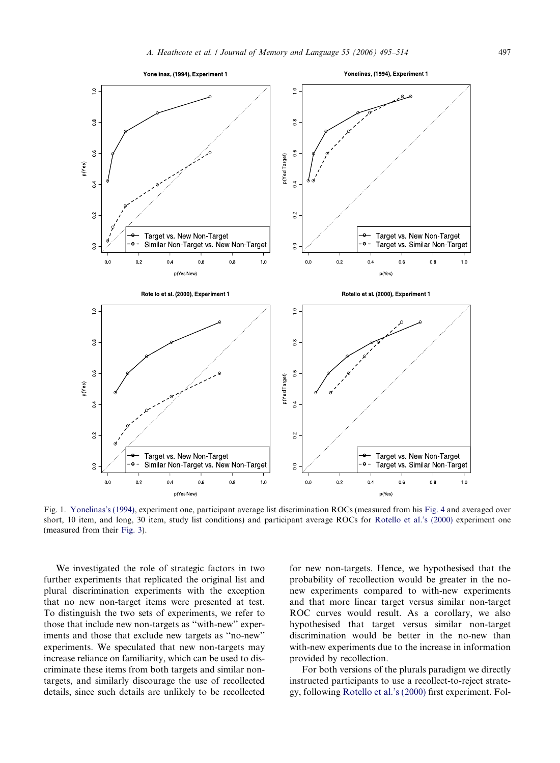<span id="page-2-0"></span>

Fig. 1. [Yonelinas's \(1994\),](#page-19-0) experiment one, participant average list discrimination ROCs (measured from his [Fig. 4](#page-10-0) and averaged over short, 10 item, and long, 30 item, study list conditions) and participant average ROCs for [Rotello et al.'s \(2000\)](#page-19-0) experiment one (measured from their [Fig. 3](#page-8-0)).

We investigated the role of strategic factors in two further experiments that replicated the original list and plural discrimination experiments with the exception that no new non-target items were presented at test. To distinguish the two sets of experiments, we refer to those that include new non-targets as ''with-new'' experiments and those that exclude new targets as ''no-new'' experiments. We speculated that new non-targets may increase reliance on familiarity, which can be used to discriminate these items from both targets and similar nontargets, and similarly discourage the use of recollected details, since such details are unlikely to be recollected

for new non-targets. Hence, we hypothesised that the probability of recollection would be greater in the nonew experiments compared to with-new experiments and that more linear target versus similar non-target ROC curves would result. As a corollary, we also hypothesised that target versus similar non-target discrimination would be better in the no-new than with-new experiments due to the increase in information provided by recollection.

For both versions of the plurals paradigm we directly instructed participants to use a recollect-to-reject strategy, following [Rotello et al.'s \(2000\)](#page-19-0) first experiment. Fol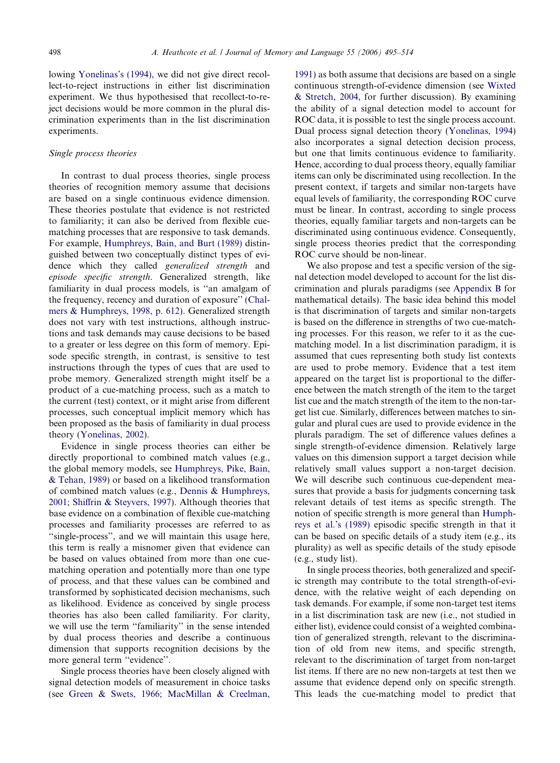lowing [Yonelinas's \(1994\),](#page-19-0) we did not give direct recollect-to-reject instructions in either list discrimination experiment. We thus hypothesised that recollect-to-reject decisions would be more common in the plural discrimination experiments than in the list discrimination experiments.

#### Single process theories

In contrast to dual process theories, single process theories of recognition memory assume that decisions are based on a single continuous evidence dimension. These theories postulate that evidence is not restricted to familiarity; it can also be derived from flexible cuematching processes that are responsive to task demands. For example, [Humphreys, Bain, and Burt \(1989\)](#page-19-0) distinguished between two conceptually distinct types of evidence which they called generalized strength and episode specific strength. Generalized strength, like familiarity in dual process models, is ''an amalgam of the frequency, recency and duration of exposure'' [\(Chal](#page-18-0)[mers & Humphreys, 1998, p. 612\)](#page-18-0). Generalized strength does not vary with test instructions, although instructions and task demands may cause decisions to be based to a greater or less degree on this form of memory. Episode specific strength, in contrast, is sensitive to test instructions through the types of cues that are used to probe memory. Generalized strength might itself be a product of a cue-matching process, such as a match to the current (test) context, or it might arise from different processes, such conceptual implicit memory which has been proposed as the basis of familiarity in dual process theory [\(Yonelinas, 2002\)](#page-19-0).

Evidence in single process theories can either be directly proportional to combined match values (e.g., the global memory models, see [Humphreys, Pike, Bain,](#page-19-0) [& Tehan, 1989\)](#page-19-0) or based on a likelihood transformation of combined match values (e.g., [Dennis & Humphreys,](#page-18-0) [2001; Shiffrin & Steyvers, 1997](#page-18-0)). Although theories that base evidence on a combination of flexible cue-matching processes and familiarity processes are referred to as ''single-process'', and we will maintain this usage here, this term is really a misnomer given that evidence can be based on values obtained from more than one cuematching operation and potentially more than one type of process, and that these values can be combined and transformed by sophisticated decision mechanisms, such as likelihood. Evidence as conceived by single process theories has also been called familiarity. For clarity, we will use the term ''familiarity'' in the sense intended by dual process theories and describe a continuous dimension that supports recognition decisions by the more general term ''evidence''.

Single process theories have been closely aligned with signal detection models of measurement in choice tasks (see [Green & Swets, 1966; MacMillan & Creelman,](#page-18-0)

[1991](#page-18-0)) as both assume that decisions are based on a single continuous strength-of-evidence dimension (see [Wixted](#page-19-0) [& Stretch, 2004](#page-19-0), for further discussion). By examining the ability of a signal detection model to account for ROC data, it is possible to test the single process account. Dual process signal detection theory [\(Yonelinas, 1994\)](#page-19-0) also incorporates a signal detection decision process, but one that limits continuous evidence to familiarity. Hence, according to dual process theory, equally familiar items can only be discriminated using recollection. In the present context, if targets and similar non-targets have equal levels of familiarity, the corresponding ROC curve must be linear. In contrast, according to single process theories, equally familiar targets and non-targets can be discriminated using continuous evidence. Consequently, single process theories predict that the corresponding ROC curve should be non-linear.

We also propose and test a specific version of the signal detection model developed to account for the list discrimination and plurals paradigms (see Appendix B for mathematical details). The basic idea behind this model is that discrimination of targets and similar non-targets is based on the difference in strengths of two cue-matching processes. For this reason, we refer to it as the cuematching model. In a list discrimination paradigm, it is assumed that cues representing both study list contexts are used to probe memory. Evidence that a test item appeared on the target list is proportional to the difference between the match strength of the item to the target list cue and the match strength of the item to the non-target list cue. Similarly, differences between matches to singular and plural cues are used to provide evidence in the plurals paradigm. The set of difference values defines a single strength-of-evidence dimension. Relatively large values on this dimension support a target decision while relatively small values support a non-target decision. We will describe such continuous cue-dependent measures that provide a basis for judgments concerning task relevant details of test items as specific strength. The notion of specific strength is more general than [Humph](#page-19-0)[reys et al.'s \(1989\)](#page-19-0) episodic specific strength in that it can be based on specific details of a study item (e.g., its plurality) as well as specific details of the study episode (e.g., study list).

In single process theories, both generalized and specific strength may contribute to the total strength-of-evidence, with the relative weight of each depending on task demands. For example, if some non-target test items in a list discrimination task are new (i.e., not studied in either list), evidence could consist of a weighted combination of generalized strength, relevant to the discrimination of old from new items, and specific strength, relevant to the discrimination of target from non-target list items. If there are no new non-targets at test then we assume that evidence depend only on specific strength. This leads the cue-matching model to predict that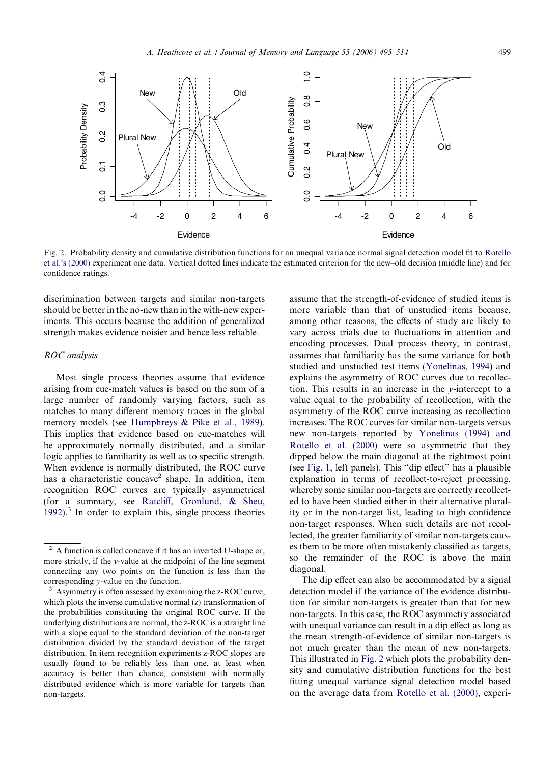<span id="page-4-0"></span>

Fig. 2. Probability density and cumulative distribution functions for an unequal variance normal signal detection model fit to [Rotello](#page-19-0) [et al.'s \(2000\)](#page-19-0) experiment one data. Vertical dotted lines indicate the estimated criterion for the new–old decision (middle line) and for confidence ratings.

discrimination between targets and similar non-targets should be better in the no-new than in the with-new experiments. This occurs because the addition of generalized strength makes evidence noisier and hence less reliable.

# ROC analysis

Most single process theories assume that evidence arising from cue-match values is based on the sum of a large number of randomly varying factors, such as matches to many different memory traces in the global memory models (see [Humphreys & Pike et al., 1989](#page-19-0)). This implies that evidence based on cue-matches will be approximately normally distributed, and a similar logic applies to familiarity as well as to specific strength. When evidence is normally distributed, the ROC curve has a characteristic concave<sup>2</sup> shape. In addition, item recognition ROC curves are typically asymmetrical (for a summary, see [Ratcliff, Gronlund, & Sheu,](#page-19-0) [1992](#page-19-0)). $3$  In order to explain this, single process theories

assume that the strength-of-evidence of studied items is more variable than that of unstudied items because, among other reasons, the effects of study are likely to vary across trials due to fluctuations in attention and encoding processes. Dual process theory, in contrast, assumes that familiarity has the same variance for both studied and unstudied test items [\(Yonelinas, 1994](#page-19-0)) and explains the asymmetry of ROC curves due to recollection. This results in an increase in the y-intercept to a value equal to the probability of recollection, with the asymmetry of the ROC curve increasing as recollection increases. The ROC curves for similar non-targets versus new non-targets reported by [Yonelinas \(1994\) and](#page-19-0) [Rotello et al. \(2000\)](#page-19-0) were so asymmetric that they dipped below the main diagonal at the rightmost point (see [Fig. 1](#page-2-0), left panels). This ''dip effect'' has a plausible explanation in terms of recollect-to-reject processing, whereby some similar non-targets are correctly recollected to have been studied either in their alternative plurality or in the non-target list, leading to high confidence non-target responses. When such details are not recollected, the greater familiarity of similar non-targets causes them to be more often mistakenly classified as targets, so the remainder of the ROC is above the main diagonal.

The dip effect can also be accommodated by a signal detection model if the variance of the evidence distribution for similar non-targets is greater than that for new non-targets. In this case, the ROC asymmetry associated with unequal variance can result in a dip effect as long as the mean strength-of-evidence of similar non-targets is not much greater than the mean of new non-targets. This illustrated in Fig. 2 which plots the probability density and cumulative distribution functions for the best fitting unequal variance signal detection model based on the average data from [Rotello et al. \(2000\),](#page-19-0) experi-

<sup>2</sup> A function is called concave if it has an inverted U-shape or, more strictly, if the y-value at the midpoint of the line segment connecting any two points on the function is less than the

corresponding y-value on the function.<br><sup>3</sup> Asymmetry is often assessed by examining the z-ROC curve, which plots the inverse cumulative normal (z) transformation of the probabilities constituting the original ROC curve. If the underlying distributions are normal, the z-ROC is a straight line with a slope equal to the standard deviation of the non-target distribution divided by the standard deviation of the target distribution. In item recognition experiments z-ROC slopes are usually found to be reliably less than one, at least when accuracy is better than chance, consistent with normally distributed evidence which is more variable for targets than non-targets.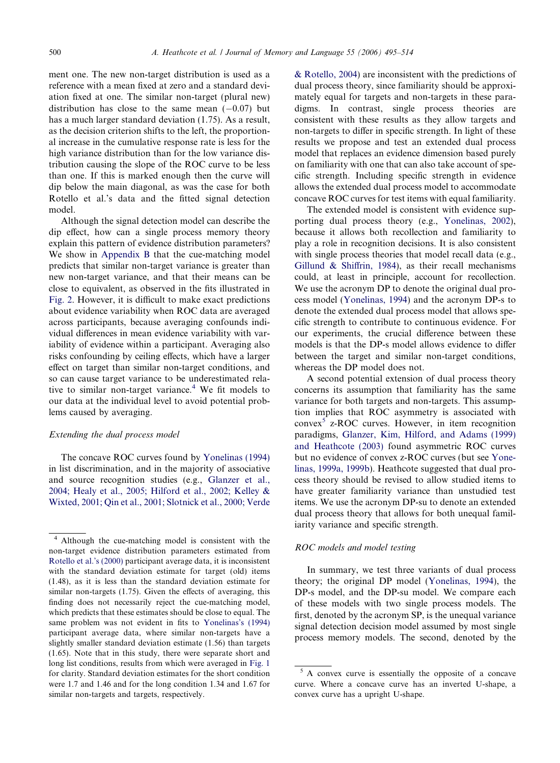ment one. The new non-target distribution is used as a reference with a mean fixed at zero and a standard deviation fixed at one. The similar non-target (plural new) distribution has close to the same mean  $(-0.07)$  but has a much larger standard deviation (1.75). As a result, as the decision criterion shifts to the left, the proportional increase in the cumulative response rate is less for the high variance distribution than for the low variance distribution causing the slope of the ROC curve to be less than one. If this is marked enough then the curve will dip below the main diagonal, as was the case for both Rotello et al.'s data and the fitted signal detection model.

Although the signal detection model can describe the dip effect, how can a single process memory theory explain this pattern of evidence distribution parameters? We show in Appendix B that the cue-matching model predicts that similar non-target variance is greater than new non-target variance, and that their means can be close to equivalent, as observed in the fits illustrated in [Fig. 2.](#page-4-0) However, it is difficult to make exact predictions about evidence variability when ROC data are averaged across participants, because averaging confounds individual differences in mean evidence variability with variability of evidence within a participant. Averaging also risks confounding by ceiling effects, which have a larger effect on target than similar non-target conditions, and so can cause target variance to be underestimated relative to similar non-target variance.<sup>4</sup> We fit models to our data at the individual level to avoid potential problems caused by averaging.

# Extending the dual process model

The concave ROC curves found by [Yonelinas \(1994\)](#page-19-0) in list discrimination, and in the majority of associative and source recognition studies (e.g., [Glanzer et al.,](#page-18-0) [2004; Healy et al., 2005; Hilford et al., 2002; Kelley &](#page-18-0) [Wixted, 2001; Qin et al., 2001; Slotnick et al., 2000; Verde](#page-18-0) [& Rotello, 2004](#page-18-0)) are inconsistent with the predictions of dual process theory, since familiarity should be approximately equal for targets and non-targets in these paradigms. In contrast, single process theories are consistent with these results as they allow targets and non-targets to differ in specific strength. In light of these results we propose and test an extended dual process model that replaces an evidence dimension based purely on familiarity with one that can also take account of specific strength. Including specific strength in evidence allows the extended dual process model to accommodate concave ROC curves for test items with equal familiarity.

The extended model is consistent with evidence supporting dual process theory (e.g., [Yonelinas, 2002](#page-19-0)), because it allows both recollection and familiarity to play a role in recognition decisions. It is also consistent with single process theories that model recall data (e.g., [Gillund & Shiffrin, 1984](#page-18-0)), as their recall mechanisms could, at least in principle, account for recollection. We use the acronym DP to denote the original dual process model [\(Yonelinas, 1994](#page-19-0)) and the acronym DP-s to denote the extended dual process model that allows specific strength to contribute to continuous evidence. For our experiments, the crucial difference between these models is that the DP-s model allows evidence to differ between the target and similar non-target conditions, whereas the DP model does not.

A second potential extension of dual process theory concerns its assumption that familiarity has the same variance for both targets and non-targets. This assumption implies that ROC asymmetry is associated with  $convex<sup>5</sup>$  z-ROC curves. However, in item recognition paradigms, [Glanzer, Kim, Hilford, and Adams \(1999\)](#page-18-0) [and Heathcote \(2003\)](#page-18-0) found asymmetric ROC curves but no evidence of convex z-ROC curves (but see [Yone](#page-19-0)[linas, 1999a, 1999b](#page-19-0)). Heathcote suggested that dual process theory should be revised to allow studied items to have greater familiarity variance than unstudied test items. We use the acronym DP-su to denote an extended dual process theory that allows for both unequal familiarity variance and specific strength.

## ROC models and model testing

In summary, we test three variants of dual process theory; the original DP model ([Yonelinas, 1994](#page-19-0)), the DP-s model, and the DP-su model. We compare each of these models with two single process models. The first, denoted by the acronym SP, is the unequal variance signal detection decision model assumed by most single process memory models. The second, denoted by the

<sup>4</sup> Although the cue-matching model is consistent with the non-target evidence distribution parameters estimated from [Rotello et al.'s \(2000\)](#page-19-0) participant average data, it is inconsistent with the standard deviation estimate for target (old) items (1.48), as it is less than the standard deviation estimate for similar non-targets (1.75). Given the effects of averaging, this finding does not necessarily reject the cue-matching model, which predicts that these estimates should be close to equal. The same problem was not evident in fits to [Yonelinas's \(1994\)](#page-19-0) participant average data, where similar non-targets have a slightly smaller standard deviation estimate (1.56) than targets (1.65). Note that in this study, there were separate short and long list conditions, results from which were averaged in [Fig. 1](#page-2-0) for clarity. Standard deviation estimates for the short condition were 1.7 and 1.46 and for the long condition 1.34 and 1.67 for similar non-targets and targets, respectively.

<sup>5</sup> A convex curve is essentially the opposite of a concave curve. Where a concave curve has an inverted U-shape, a convex curve has a upright U-shape.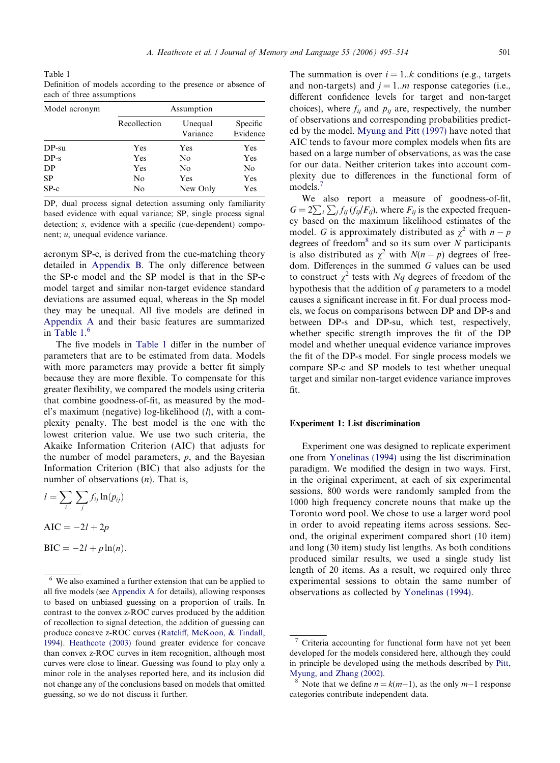<span id="page-6-0"></span>Table 1 Definition of models according to the presence or absence of each of three assumptions

| Model acronym |              | Assumption          |                      |
|---------------|--------------|---------------------|----------------------|
|               | Recollection | Unequal<br>Variance | Specific<br>Evidence |
| $DP$ -su      | Yes          | Yes                 | Yes                  |
| $DP-s$        | Yes          | No                  | Yes                  |
| DP            | Yes          | No                  | No                   |
| SP            | No           | Yes                 | Yes                  |
| $SP-c$        | No           | New Only            | Yes                  |

DP, dual process signal detection assuming only familiarity based evidence with equal variance; SP, single process signal detection; s, evidence with a specific (cue-dependent) component; u, unequal evidence variance.

acronym SP-c, is derived from the cue-matching theory detailed in Appendix B. The only difference between the SP-c model and the SP model is that in the SP-c model target and similar non-target evidence standard deviations are assumed equal, whereas in the Sp model they may be unequal. All five models are defined in Appendix A and their basic features are summarized in Table 1. 6

The five models in Table 1 differ in the number of parameters that are to be estimated from data. Models with more parameters may provide a better fit simply because they are more flexible. To compensate for this greater flexibility, we compared the models using criteria that combine goodness-of-fit, as measured by the model's maximum (negative) log-likelihood  $(l)$ , with a complexity penalty. The best model is the one with the lowest criterion value. We use two such criteria, the Akaike Information Criterion (AIC) that adjusts for the number of model parameters,  $p$ , and the Bayesian Information Criterion (BIC) that also adjusts for the number of observations  $(n)$ . That is,

$$
l = \sum_{i} \sum_{j} f_{ij} \ln(p_{ij})
$$
  
 
$$
AIC = -2l + 2p
$$
  
 
$$
BIC = -2l + p \ln(n).
$$

The summation is over  $i = 1..k$  conditions (e.g., targets and non-targets) and  $j = 1..m$  response categories (i.e., different confidence levels for target and non-target choices), where  $f_{ii}$  and  $p_{ii}$  are, respectively, the number of observations and corresponding probabilities predicted by the model. [Myung and Pitt \(1997\)](#page-19-0) have noted that AIC tends to favour more complex models when fits are based on a large number of observations, as was the case for our data. Neither criterion takes into account complexity due to differences in the functional form of models.<sup>7</sup>

We also report a measure of goodness-of-fit,  $G = 2\sum_i \sum_j f_{ij} (f_{ij}/F_{ij})$ , where  $F_{ij}$  is the expected frequency based on the maximum likelihood estimates of the model. G is approximately distributed as  $\chi^2$  with  $n - p$ degrees of freedom $8$  and so its sum over N participants is also distributed as  $\chi^2$  with  $N(n-p)$  degrees of freedom. Differences in the summed G values can be used to construct  $\chi^2$  tests with Nq degrees of freedom of the hypothesis that the addition of  $q$  parameters to a model causes a significant increase in fit. For dual process models, we focus on comparisons between DP and DP-s and between DP-s and DP-su, which test, respectively, whether specific strength improves the fit of the DP model and whether unequal evidence variance improves the fit of the DP-s model. For single process models we compare SP-c and SP models to test whether unequal target and similar non-target evidence variance improves fit.

#### Experiment 1: List discrimination

Experiment one was designed to replicate experiment one from [Yonelinas \(1994\)](#page-19-0) using the list discrimination paradigm. We modified the design in two ways. First, in the original experiment, at each of six experimental sessions, 800 words were randomly sampled from the 1000 high frequency concrete nouns that make up the Toronto word pool. We chose to use a larger word pool in order to avoid repeating items across sessions. Second, the original experiment compared short (10 item) and long (30 item) study list lengths. As both conditions produced similar results, we used a single study list length of 20 items. As a result, we required only three experimental sessions to obtain the same number of observations as collected by [Yonelinas \(1994\)](#page-19-0).

<sup>6</sup> We also examined a further extension that can be applied to all five models (see Appendix A for details), allowing responses to based on unbiased guessing on a proportion of trails. In contrast to the convex z-ROC curves produced by the addition of recollection to signal detection, the addition of guessing can produce concave z-ROC curves [\(Ratcliff, McKoon, & Tindall,](#page-19-0) [1994](#page-19-0)). [Heathcote \(2003\)](#page-18-0) found greater evidence for concave than convex z-ROC curves in item recognition, although most curves were close to linear. Guessing was found to play only a minor role in the analyses reported here, and its inclusion did not change any of the conclusions based on models that omitted guessing, so we do not discuss it further.

Criteria accounting for functional form have not yet been developed for the models considered here, although they could in principle be developed using the methods described by [Pitt,](#page-19-0)

[Myung, and Zhang \(2002\)](#page-19-0).<br><sup>8</sup> Note that we define  $n = k(m-1)$ , as the only  $m-1$  response categories contribute independent data.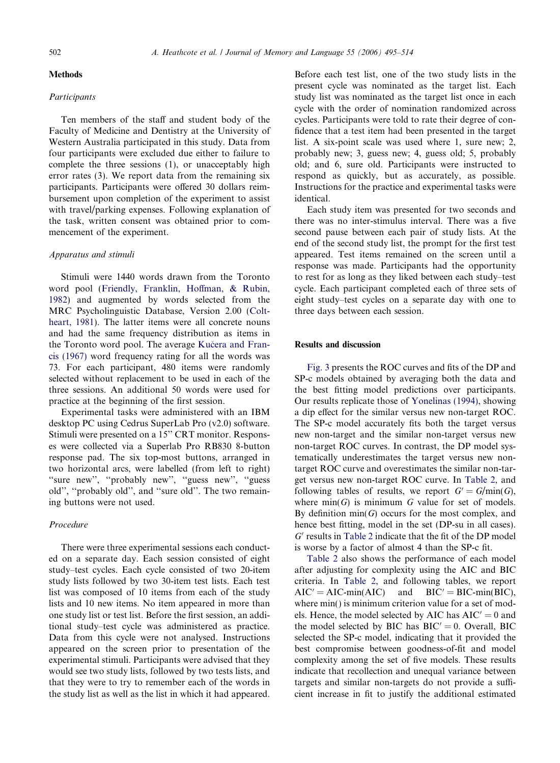# **Methods**

## Participants

Ten members of the staff and student body of the Faculty of Medicine and Dentistry at the University of Western Australia participated in this study. Data from four participants were excluded due either to failure to complete the three sessions (1), or unacceptably high error rates (3). We report data from the remaining six participants. Participants were offered 30 dollars reimbursement upon completion of the experiment to assist with travel/parking expenses. Following explanation of the task, written consent was obtained prior to commencement of the experiment.

# Apparatus and stimuli

Stimuli were 1440 words drawn from the Toronto word pool ([Friendly, Franklin, Hoffman, & Rubin,](#page-18-0) [1982](#page-18-0)) and augmented by words selected from the MRC Psycholinguistic Database, Version 2.00 ([Colt](#page-18-0)[heart, 1981\)](#page-18-0). The latter items were all concrete nouns and had the same frequency distribution as items in the Toronto word pool. The average Kučera and Fran[cis \(1967\)](#page-19-0) word frequency rating for all the words was 73. For each participant, 480 items were randomly selected without replacement to be used in each of the three sessions. An additional 50 words were used for practice at the beginning of the first session.

Experimental tasks were administered with an IBM desktop PC using Cedrus SuperLab Pro (v2.0) software. Stimuli were presented on a 15'' CRT monitor. Responses were collected via a Superlab Pro RB830 8-button response pad. The six top-most buttons, arranged in two horizontal arcs, were labelled (from left to right) "sure new", "probably new", "guess new", "guess" old", "probably old", and "sure old". The two remaining buttons were not used.

## Procedure

There were three experimental sessions each conducted on a separate day. Each session consisted of eight study–test cycles. Each cycle consisted of two 20-item study lists followed by two 30-item test lists. Each test list was composed of 10 items from each of the study lists and 10 new items. No item appeared in more than one study list or test list. Before the first session, an additional study–test cycle was administered as practice. Data from this cycle were not analysed. Instructions appeared on the screen prior to presentation of the experimental stimuli. Participants were advised that they would see two study lists, followed by two tests lists, and that they were to try to remember each of the words in the study list as well as the list in which it had appeared.

Before each test list, one of the two study lists in the present cycle was nominated as the target list. Each study list was nominated as the target list once in each cycle with the order of nomination randomized across cycles. Participants were told to rate their degree of confidence that a test item had been presented in the target list. A six-point scale was used where 1, sure new; 2, probably new; 3, guess new; 4, guess old; 5, probably old; and 6, sure old. Participants were instructed to respond as quickly, but as accurately, as possible. Instructions for the practice and experimental tasks were identical.

Each study item was presented for two seconds and there was no inter-stimulus interval. There was a five second pause between each pair of study lists. At the end of the second study list, the prompt for the first test appeared. Test items remained on the screen until a response was made. Participants had the opportunity to rest for as long as they liked between each study–test cycle. Each participant completed each of three sets of eight study–test cycles on a separate day with one to three days between each session.

# Results and discussion

[Fig. 3](#page-8-0) presents the ROC curves and fits of the DP and SP-c models obtained by averaging both the data and the best fitting model predictions over participants. Our results replicate those of [Yonelinas \(1994\)](#page-19-0), showing a dip effect for the similar versus new non-target ROC. The SP-c model accurately fits both the target versus new non-target and the similar non-target versus new non-target ROC curves. In contrast, the DP model systematically underestimates the target versus new nontarget ROC curve and overestimates the similar non-target versus new non-target ROC curve. In [Table 2,](#page-8-0) and following tables of results, we report  $G' = G/\text{min}(G)$ , where  $\min(G)$  is minimum G value for set of models. By definition  $\min(G)$  occurs for the most complex, and hence best fitting, model in the set (DP-su in all cases).  $G'$  results in [Table 2](#page-8-0) indicate that the fit of the DP model is worse by a factor of almost 4 than the SP-c fit.

[Table 2](#page-8-0) also shows the performance of each model after adjusting for complexity using the AIC and BIC criteria. In [Table 2](#page-8-0), and following tables, we report  $AIC' = AIC-min(AIC)$  and  $BIC' = BIC-min(BIC)$ , where min() is minimum criterion value for a set of models. Hence, the model selected by AIC has  $AIC' = 0$  and the model selected by BIC has  $BIC' = 0$ . Overall, BIC selected the SP-c model, indicating that it provided the best compromise between goodness-of-fit and model complexity among the set of five models. These results indicate that recollection and unequal variance between targets and similar non-targets do not provide a sufficient increase in fit to justify the additional estimated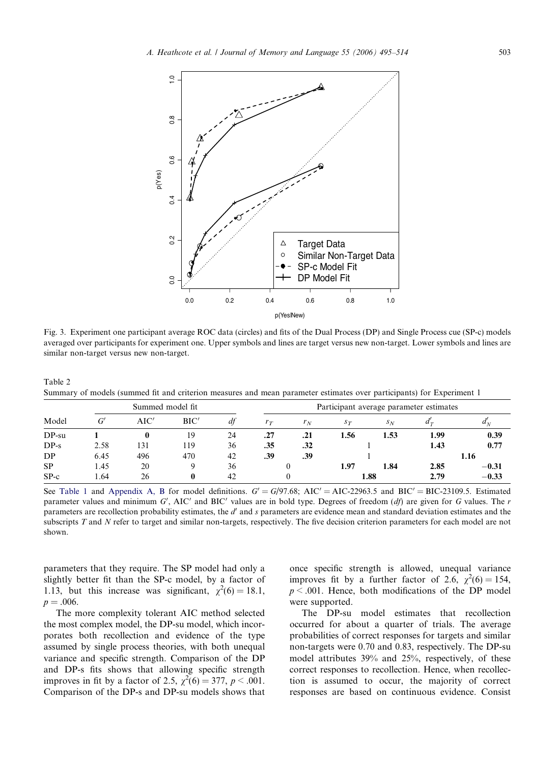<span id="page-8-0"></span>

Fig. 3. Experiment one participant average ROC data (circles) and fits of the Dual Process (DP) and Single Process cue (SP-c) models averaged over participants for experiment one. Upper symbols and lines are target versus new non-target. Lower symbols and lines are similar non-target versus new non-target.

| Table 2 |                                                                                                                       |
|---------|-----------------------------------------------------------------------------------------------------------------------|
|         | Summary of models (summed fit and criterion measures and mean parameter estimates over participants) for Experiment 1 |

|           |      | Summed model fit |      | Participant average parameter estimates |       |       |         |       |            |                  |
|-----------|------|------------------|------|-----------------------------------------|-------|-------|---------|-------|------------|------------------|
| Model     | G'   | AIC'             | BIC' | df                                      | $r_T$ | $r_N$ | $S_{T}$ | $S_N$ | $a_{\tau}$ | $\boldsymbol{u}$ |
| $DP-su$   |      |                  | 19   | 24                                      | .27   | .21   | 1.56    | 1.53  | 1.99       | 0.39             |
| $DP-s$    | 2.58 | 131              | 119  | 36                                      | .35   | .32   |         |       | 1.43       | 0.77             |
| DP        | 6.45 | 496              | 470  | 42                                      | .39   | .39   |         |       |            | 1.16             |
| <b>SP</b> | .45  | 20               |      | 36                                      |       |       | 1.97    | 1.84  | 2.85       | $-0.31$          |
| $SP-c$    | .64  | 26               |      | 42                                      |       |       |         | 1.88  | 2.79       | $-0.33$          |

See [Table 1](#page-6-0) and Appendix A, B for model definitions.  $G' = G/97.68$ ; AIC' = AIC-22963.5 and BIC' = BIC-23109.5. Estimated parameter values and minimum  $G'$ , AIC' and BIC' values are in bold type. Degrees of freedom  $(df)$  are given for  $G$  values. The  $r$ parameters are recollection probability estimates, the  $d'$  and s parameters are evidence mean and standard deviation estimates and the subscripts T and N refer to target and similar non-targets, respectively. The five decision criterion parameters for each model are not shown.

parameters that they require. The SP model had only a slightly better fit than the SP-c model, by a factor of 1.13, but this increase was significant,  $\chi^2(6) = 18.1$ ,  $p = .006$ .

The more complexity tolerant AIC method selected the most complex model, the DP-su model, which incorporates both recollection and evidence of the type assumed by single process theories, with both unequal variance and specific strength. Comparison of the DP and DP-s fits shows that allowing specific strength improves in fit by a factor of 2.5,  $\chi^2(6) = 377$ ,  $p < .001$ . Comparison of the DP-s and DP-su models shows that once specific strength is allowed, unequal variance improves fit by a further factor of 2.6,  $\chi^2(6) = 154$ ,  $p < .001$ . Hence, both modifications of the DP model were supported.

The DP-su model estimates that recollection occurred for about a quarter of trials. The average probabilities of correct responses for targets and similar non-targets were 0.70 and 0.83, respectively. The DP-su model attributes 39% and 25%, respectively, of these correct responses to recollection. Hence, when recollection is assumed to occur, the majority of correct responses are based on continuous evidence. Consist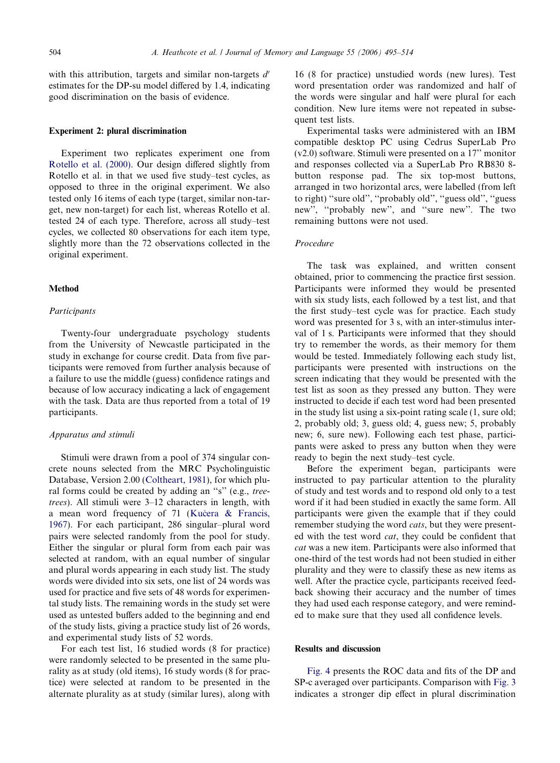with this attribution, targets and similar non-targets  $d'$ estimates for the DP-su model differed by 1.4, indicating good discrimination on the basis of evidence.

#### Experiment 2: plural discrimination

Experiment two replicates experiment one from [Rotello et al. \(2000\)](#page-19-0). Our design differed slightly from Rotello et al. in that we used five study–test cycles, as opposed to three in the original experiment. We also tested only 16 items of each type (target, similar non-target, new non-target) for each list, whereas Rotello et al. tested 24 of each type. Therefore, across all study–test cycles, we collected 80 observations for each item type, slightly more than the 72 observations collected in the original experiment.

# **Method**

## Participants

Twenty-four undergraduate psychology students from the University of Newcastle participated in the study in exchange for course credit. Data from five participants were removed from further analysis because of a failure to use the middle (guess) confidence ratings and because of low accuracy indicating a lack of engagement with the task. Data are thus reported from a total of 19 participants.

### Apparatus and stimuli

Stimuli were drawn from a pool of 374 singular concrete nouns selected from the MRC Psycholinguistic Database, Version 2.00 ([Coltheart, 1981\)](#page-18-0), for which plural forms could be created by adding an "s" (e.g., treetrees). All stimuli were 3–12 characters in length, with a mean word frequency of 71 (Kučera  $&$  Francis, [1967](#page-19-0)). For each participant, 286 singular–plural word pairs were selected randomly from the pool for study. Either the singular or plural form from each pair was selected at random, with an equal number of singular and plural words appearing in each study list. The study words were divided into six sets, one list of 24 words was used for practice and five sets of 48 words for experimental study lists. The remaining words in the study set were used as untested buffers added to the beginning and end of the study lists, giving a practice study list of 26 words, and experimental study lists of 52 words.

For each test list, 16 studied words (8 for practice) were randomly selected to be presented in the same plurality as at study (old items), 16 study words (8 for practice) were selected at random to be presented in the alternate plurality as at study (similar lures), along with 16 (8 for practice) unstudied words (new lures). Test word presentation order was randomized and half of the words were singular and half were plural for each condition. New lure items were not repeated in subsequent test lists.

Experimental tasks were administered with an IBM compatible desktop PC using Cedrus SuperLab Pro (v2.0) software. Stimuli were presented on a 17'' monitor and responses collected via a SuperLab Pro RB830 8 button response pad. The six top-most buttons, arranged in two horizontal arcs, were labelled (from left to right) ''sure old'', ''probably old'', ''guess old'', ''guess new", "probably new", and "sure new". The two remaining buttons were not used.

#### Procedure

The task was explained, and written consent obtained, prior to commencing the practice first session. Participants were informed they would be presented with six study lists, each followed by a test list, and that the first study–test cycle was for practice. Each study word was presented for 3 s, with an inter-stimulus interval of 1 s. Participants were informed that they should try to remember the words, as their memory for them would be tested. Immediately following each study list, participants were presented with instructions on the screen indicating that they would be presented with the test list as soon as they pressed any button. They were instructed to decide if each test word had been presented in the study list using a six-point rating scale (1, sure old; 2, probably old; 3, guess old; 4, guess new; 5, probably new; 6, sure new). Following each test phase, participants were asked to press any button when they were ready to begin the next study–test cycle.

Before the experiment began, participants were instructed to pay particular attention to the plurality of study and test words and to respond old only to a test word if it had been studied in exactly the same form. All participants were given the example that if they could remember studying the word *cats*, but they were presented with the test word cat, they could be confident that cat was a new item. Participants were also informed that one-third of the test words had not been studied in either plurality and they were to classify these as new items as well. After the practice cycle, participants received feedback showing their accuracy and the number of times they had used each response category, and were reminded to make sure that they used all confidence levels.

# Results and discussion

[Fig. 4](#page-10-0) presents the ROC data and fits of the DP and SP-c averaged over participants. Comparison with [Fig. 3](#page-8-0) indicates a stronger dip effect in plural discrimination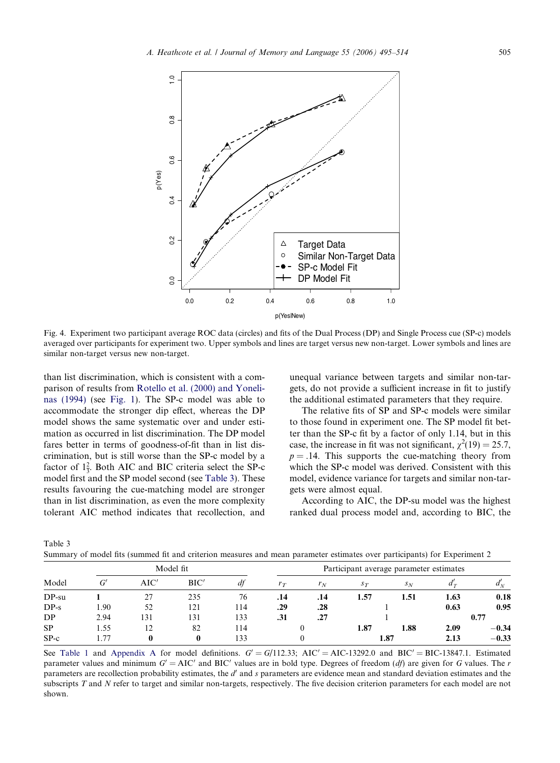<span id="page-10-0"></span>

Fig. 4. Experiment two participant average ROC data (circles) and fits of the Dual Process (DP) and Single Process cue (SP-c) models averaged over participants for experiment two. Upper symbols and lines are target versus new non-target. Lower symbols and lines are similar non-target versus new non-target.

than list discrimination, which is consistent with a comparison of results from [Rotello et al. \(2000\) and Yoneli](#page-19-0)[nas \(1994\)](#page-19-0) (see [Fig. 1](#page-2-0)). The SP-c model was able to accommodate the stronger dip effect, whereas the DP model shows the same systematic over and under estimation as occurred in list discrimination. The DP model fares better in terms of goodness-of-fit than in list discrimination, but is still worse than the SP-c model by a factor of  $1\frac{2}{3}$ . Both AIC and BIC criteria select the SP-c model first and the SP model second (see Table 3). These results favouring the cue-matching model are stronger than in list discrimination, as even the more complexity tolerant AIC method indicates that recollection, and unequal variance between targets and similar non-targets, do not provide a sufficient increase in fit to justify the additional estimated parameters that they require.

The relative fits of SP and SP-c models were similar to those found in experiment one. The SP model fit better than the SP-c fit by a factor of only 1.14, but in this case, the increase in fit was not significant,  $\chi^2(19) = 25.7$ ,  $p = 0.14$ . This supports the cue-matching theory from which the SP-c model was derived. Consistent with this model, evidence variance for targets and similar non-targets were almost equal.

According to AIC, the DP-su model was the highest ranked dual process model and, according to BIC, the

| Table 3                                                                                                                   |  |  |  |  |  |  |
|---------------------------------------------------------------------------------------------------------------------------|--|--|--|--|--|--|
| Summary of model fits (summed fit and criterion measures and mean parameter estimates over participants) for Experiment 2 |  |  |  |  |  |  |

|           |      |      | Model fit | Participant average parameter estimates |       |       |         |       |            |         |
|-----------|------|------|-----------|-----------------------------------------|-------|-------|---------|-------|------------|---------|
| Model     | G'   | AIC' | BIC'      | df                                      | $r_T$ | $r_N$ | $S_{T}$ | $S_N$ | $a_{\tau}$ | $a_N$   |
| $DP-su$   |      |      | 235       | 76                                      | .14   | .14   | 1.57    | 1.51  | 1.63       | 0.18    |
| $DP-s$    | 1.90 | 52   | 121       | 114                                     | .29   | .28   |         |       | 0.63       | 0.95    |
| DP        | 2.94 | 131  | 131       | 133                                     | .31   | .27   |         |       |            | 0.77    |
| <b>SP</b> | 1.55 | 12   | 82        | 114                                     |       |       | 1.87    | 1.88  | 2.09       | $-0.34$ |
| $SP-c$    |      |      | 0         | 133                                     |       |       | 1.87    |       | 2.13       | $-0.33$ |

See [Table 1](#page-6-0) and Appendix A for model definitions.  $G' = G/112.33$ ; AIC' = AIC-13292.0 and BIC' = BIC-13847.1. Estimated parameter values and minimum  $G' = AIC'$  and BIC' values are in bold type. Degrees of freedom (df) are given for G values. The r parameters are recollection probability estimates, the  $d'$  and s parameters are evidence mean and standard deviation estimates and the subscripts T and N refer to target and similar non-targets, respectively. The five decision criterion parameters for each model are not shown.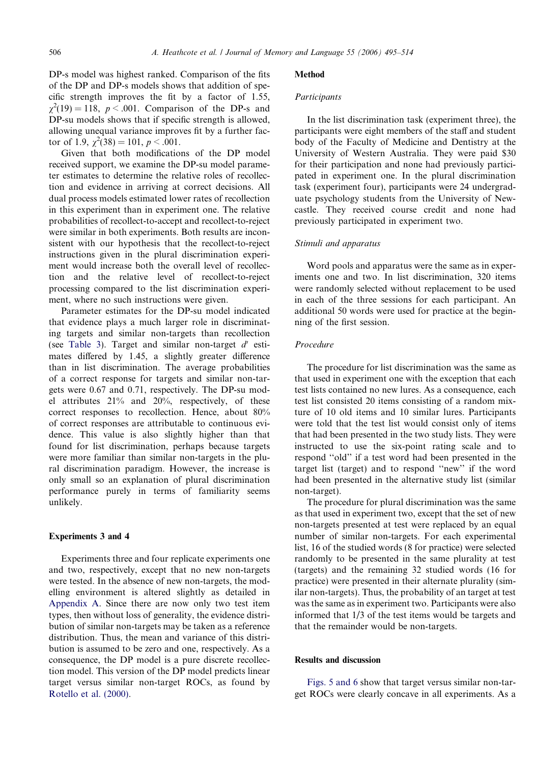DP-s model was highest ranked. Comparison of the fits of the DP and DP-s models shows that addition of specific strength improves the fit by a factor of 1.55,  $\chi^2(19) = 118$ ,  $p < .001$ . Comparison of the DP-s and DP-su models shows that if specific strength is allowed, allowing unequal variance improves fit by a further factor of 1.9,  $\chi^2(38) = 101$ ,  $p < .001$ .

Given that both modifications of the DP model received support, we examine the DP-su model parameter estimates to determine the relative roles of recollection and evidence in arriving at correct decisions. All dual process models estimated lower rates of recollection in this experiment than in experiment one. The relative probabilities of recollect-to-accept and recollect-to-reject were similar in both experiments. Both results are inconsistent with our hypothesis that the recollect-to-reject instructions given in the plural discrimination experiment would increase both the overall level of recollection and the relative level of recollect-to-reject processing compared to the list discrimination experiment, where no such instructions were given.

Parameter estimates for the DP-su model indicated that evidence plays a much larger role in discriminating targets and similar non-targets than recollection (see [Table 3](#page-10-0)). Target and similar non-target  $d'$  estimates differed by 1.45, a slightly greater difference than in list discrimination. The average probabilities of a correct response for targets and similar non-targets were 0.67 and 0.71, respectively. The DP-su model attributes 21% and 20%, respectively, of these correct responses to recollection. Hence, about 80% of correct responses are attributable to continuous evidence. This value is also slightly higher than that found for list discrimination, perhaps because targets were more familiar than similar non-targets in the plural discrimination paradigm. However, the increase is only small so an explanation of plural discrimination performance purely in terms of familiarity seems unlikely.

## Experiments 3 and 4

Experiments three and four replicate experiments one and two, respectively, except that no new non-targets were tested. In the absence of new non-targets, the modelling environment is altered slightly as detailed in Appendix A. Since there are now only two test item types, then without loss of generality, the evidence distribution of similar non-targets may be taken as a reference distribution. Thus, the mean and variance of this distribution is assumed to be zero and one, respectively. As a consequence, the DP model is a pure discrete recollection model. This version of the DP model predicts linear target versus similar non-target ROCs, as found by [Rotello et al. \(2000\)](#page-19-0).

# Method

# **Participants**

In the list discrimination task (experiment three), the participants were eight members of the staff and student body of the Faculty of Medicine and Dentistry at the University of Western Australia. They were paid \$30 for their participation and none had previously participated in experiment one. In the plural discrimination task (experiment four), participants were 24 undergraduate psychology students from the University of Newcastle. They received course credit and none had previously participated in experiment two.

## Stimuli and apparatus

Word pools and apparatus were the same as in experiments one and two. In list discrimination, 320 items were randomly selected without replacement to be used in each of the three sessions for each participant. An additional 50 words were used for practice at the beginning of the first session.

#### Procedure

The procedure for list discrimination was the same as that used in experiment one with the exception that each test lists contained no new lures. As a consequence, each test list consisted 20 items consisting of a random mixture of 10 old items and 10 similar lures. Participants were told that the test list would consist only of items that had been presented in the two study lists. They were instructed to use the six-point rating scale and to respond ''old'' if a test word had been presented in the target list (target) and to respond ''new'' if the word had been presented in the alternative study list (similar non-target).

The procedure for plural discrimination was the same as that used in experiment two, except that the set of new non-targets presented at test were replaced by an equal number of similar non-targets. For each experimental list, 16 of the studied words (8 for practice) were selected randomly to be presented in the same plurality at test (targets) and the remaining 32 studied words (16 for practice) were presented in their alternate plurality (similar non-targets). Thus, the probability of an target at test was the same as in experiment two. Participants were also informed that 1/3 of the test items would be targets and that the remainder would be non-targets.

# Results and discussion

[Figs. 5 and 6](#page-12-0) show that target versus similar non-target ROCs were clearly concave in all experiments. As a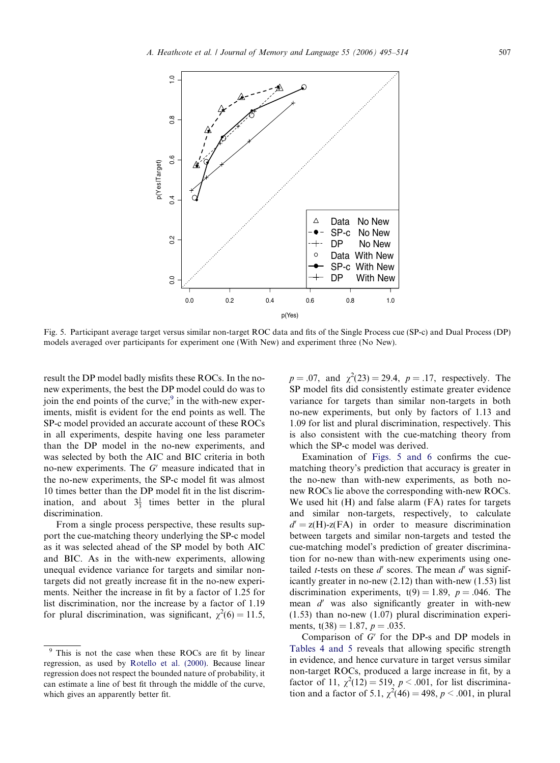<span id="page-12-0"></span>

Fig. 5. Participant average target versus similar non-target ROC data and fits of the Single Process cue (SP-c) and Dual Process (DP) models averaged over participants for experiment one (With New) and experiment three (No New).

result the DP model badly misfits these ROCs. In the nonew experiments, the best the DP model could do was to join the end points of the curve; $9$  in the with-new experiments, misfit is evident for the end points as well. The SP-c model provided an accurate account of these ROCs in all experiments, despite having one less parameter than the DP model in the no-new experiments, and was selected by both the AIC and BIC criteria in both no-new experiments. The  $G'$  measure indicated that in the no-new experiments, the SP-c model fit was almost 10 times better than the DP model fit in the list discrimination, and about  $3\frac{1}{3}$  times better in the plural discrimination.

From a single process perspective, these results support the cue-matching theory underlying the SP-c model as it was selected ahead of the SP model by both AIC and BIC. As in the with-new experiments, allowing unequal evidence variance for targets and similar nontargets did not greatly increase fit in the no-new experiments. Neither the increase in fit by a factor of 1.25 for list discrimination, nor the increase by a factor of 1.19 for plural discrimination, was significant,  $\chi^2(6) = 11.5$ ,

 $p = .07$ , and  $\chi^2(23) = 29.4$ ,  $p = .17$ , respectively. The SP model fits did consistently estimate greater evidence variance for targets than similar non-targets in both no-new experiments, but only by factors of 1.13 and 1.09 for list and plural discrimination, respectively. This is also consistent with the cue-matching theory from which the SP-c model was derived.

Examination of Figs. 5 and 6 confirms the cuematching theory's prediction that accuracy is greater in the no-new than with-new experiments, as both nonew ROCs lie above the corresponding with-new ROCs. We used hit (H) and false alarm (FA) rates for targets and similar non-targets, respectively, to calculate  $d' = z(H)$ -z(FA) in order to measure discrimination between targets and similar non-targets and tested the cue-matching model's prediction of greater discrimination for no-new than with-new experiments using onetailed *t*-tests on these  $d'$  scores. The mean  $d'$  was significantly greater in no-new (2.12) than with-new (1.53) list discrimination experiments,  $t(9) = 1.89$ ,  $p = .046$ . The mean  $d'$  was also significantly greater in with-new (1.53) than no-new (1.07) plural discrimination experiments,  $t(38) = 1.87$ ,  $p = .035$ .

Comparison of  $G'$  for the DP-s and DP models in [Tables 4 and 5](#page-13-0) reveals that allowing specific strength in evidence, and hence curvature in target versus similar non-target ROCs, produced a large increase in fit, by a factor of 11,  $\chi^2(12) = 519$ ,  $p < .001$ , for list discrimination and a factor of 5.1,  $\chi^2(46) = 498$ ,  $p < .001$ , in plural

<sup>9</sup> This is not the case when these ROCs are fit by linear regression, as used by [Rotello et al. \(2000\).](#page-19-0) Because linear regression does not respect the bounded nature of probability, it can estimate a line of best fit through the middle of the curve, which gives an apparently better fit.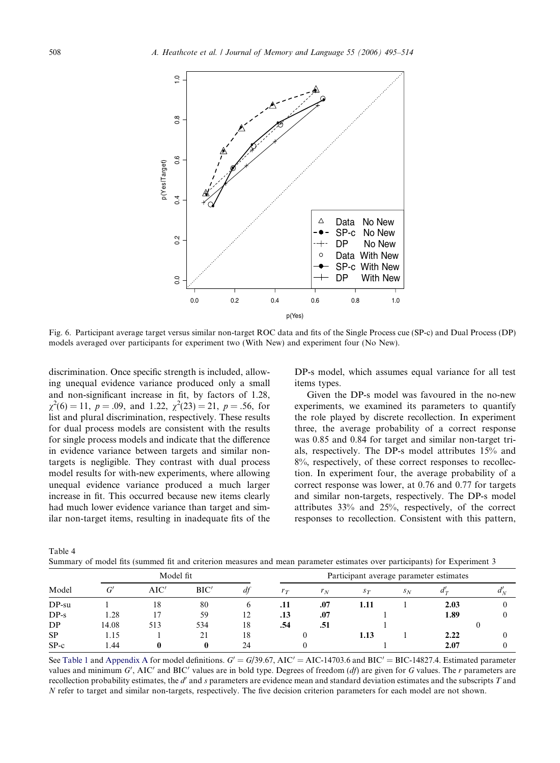<span id="page-13-0"></span>

Fig. 6. Participant average target versus similar non-target ROC data and fits of the Single Process cue (SP-c) and Dual Process (DP) models averaged over participants for experiment two (With New) and experiment four (No New).

discrimination. Once specific strength is included, allowing unequal evidence variance produced only a small and non-significant increase in fit, by factors of 1.28,  $\chi^2(6) = 11$ ,  $p = .09$ , and 1.22,  $\chi^2(23) = 21$ ,  $p = .56$ , for list and plural discrimination, respectively. These results for dual process models are consistent with the results for single process models and indicate that the difference in evidence variance between targets and similar nontargets is negligible. They contrast with dual process model results for with-new experiments, where allowing unequal evidence variance produced a much larger increase in fit. This occurred because new items clearly had much lower evidence variance than target and similar non-target items, resulting in inadequate fits of the DP-s model, which assumes equal variance for all test items types.

Given the DP-s model was favoured in the no-new experiments, we examined its parameters to quantify the role played by discrete recollection. In experiment three, the average probability of a correct response was 0.85 and 0.84 for target and similar non-target trials, respectively. The DP-s model attributes 15% and 8%, respectively, of these correct responses to recollection. In experiment four, the average probability of a correct response was lower, at 0.76 and 0.77 for targets and similar non-targets, respectively. The DP-s model attributes 33% and 25%, respectively, of the correct responses to recollection. Consistent with this pattern,

Table 4 Summary of model fits (summed fit and criterion measures and mean parameter estimates over participants) for Experiment 3

|           | Model fit |      |      |    | Participant average parameter estimates |       |         |       |      |       |
|-----------|-----------|------|------|----|-----------------------------------------|-------|---------|-------|------|-------|
| Model     |           | AIC' | BIC' | df | $r_{T}$                                 | $r_N$ | $S_{T}$ | $S_N$ |      | $a_N$ |
| $DP-su$   |           | 18   | 80   |    |                                         | .07   |         |       | 2.03 |       |
| $DP-s$    | .28       |      | 59   | 12 | .13                                     | .07   |         |       | 1.89 |       |
| DP        | 14.08     | 513  | 534  | 18 | .54                                     | .51   |         |       |      |       |
| <b>SP</b> | . 15      |      | 21   | 18 |                                         |       | 1.13    |       | 2.22 |       |
| $SP-c$    | .44       |      |      | 24 |                                         |       |         |       | 2.07 |       |

See [Table 1](#page-6-0) and Appendix A for model definitions.  $G' = G/39.67$ , AIC' = AIC-14703.6 and BIC' = BIC-14827.4. Estimated parameter values and minimum  $G'$ , AIC' and BIC' values are in bold type. Degrees of freedom  $(df)$  are given for G values. The r parameters are recollection probability estimates, the  $d'$  and s parameters are evidence mean and standard deviation estimates and the subscripts  $T$  and N refer to target and similar non-targets, respectively. The five decision criterion parameters for each model are not shown.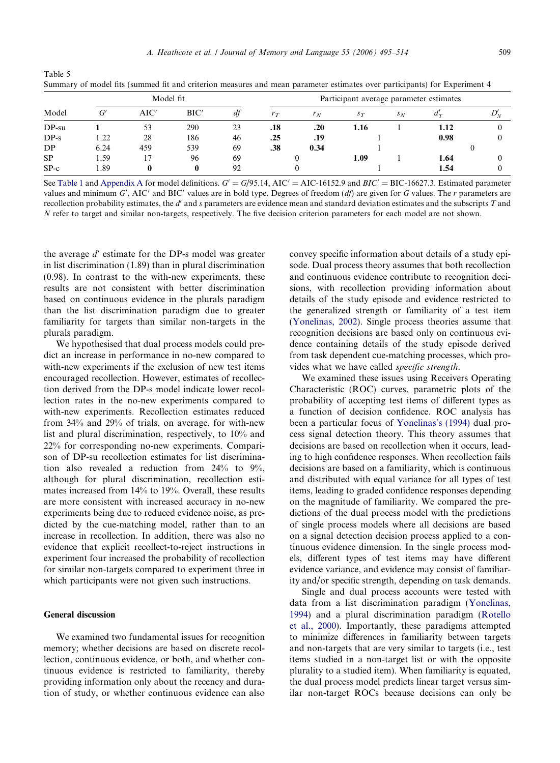|           | Model fit |      |      |    | Participant average parameter estimates |       |         |       |      |                    |
|-----------|-----------|------|------|----|-----------------------------------------|-------|---------|-------|------|--------------------|
| Model     | G'        | AIC' | BIC' | a1 | $r_{T}$                                 | $r_N$ | $S_{T}$ | $S_N$ |      | $\boldsymbol{\nu}$ |
| $DP-su$   |           |      | 290  | 23 | .18                                     | .20   | 1.16    |       | 1.12 |                    |
| $DP-s$    | .22       | 28   | 186  | 46 | .25                                     | .19   |         |       | 0.98 |                    |
| DP        | 6.24      | 459  | 539  | 69 | .38                                     | 0.34  |         |       |      |                    |
| <b>SP</b> | .59       |      | 96   | 69 |                                         |       | 1.09    |       | 1.64 |                    |
| $SP-c$    | .89       |      | 0    | 92 |                                         |       |         |       | l.54 |                    |

Table 5 Summary of model fits (summed fit and criterion measures and mean parameter estimates over participants) for Experiment 4

See [Table 1](#page-6-0) and Appendix A for model definitions.  $G' = G/95.14$ , AIC<sup>'</sup> = AIC-16152.9 and BIC' = BIC-16627.3. Estimated parameter values and minimum  $G'$ , AIC' and BIC' values are in bold type. Degrees of freedom  $(df)$  are given for G values. The r parameters are recollection probability estimates, the  $d'$  and s parameters are evidence mean and standard deviation estimates and the subscripts T and N refer to target and similar non-targets, respectively. The five decision criterion parameters for each model are not shown.

the average  $d'$  estimate for the DP-s model was greater in list discrimination (1.89) than in plural discrimination (0.98). In contrast to the with-new experiments, these results are not consistent with better discrimination based on continuous evidence in the plurals paradigm than the list discrimination paradigm due to greater familiarity for targets than similar non-targets in the plurals paradigm.

We hypothesised that dual process models could predict an increase in performance in no-new compared to with-new experiments if the exclusion of new test items encouraged recollection. However, estimates of recollection derived from the DP-s model indicate lower recollection rates in the no-new experiments compared to with-new experiments. Recollection estimates reduced from 34% and 29% of trials, on average, for with-new list and plural discrimination, respectively, to 10% and 22% for corresponding no-new experiments. Comparison of DP-su recollection estimates for list discrimination also revealed a reduction from 24% to 9%, although for plural discrimination, recollection estimates increased from 14% to 19%. Overall, these results are more consistent with increased accuracy in no-new experiments being due to reduced evidence noise, as predicted by the cue-matching model, rather than to an increase in recollection. In addition, there was also no evidence that explicit recollect-to-reject instructions in experiment four increased the probability of recollection for similar non-targets compared to experiment three in which participants were not given such instructions.

# General discussion

We examined two fundamental issues for recognition memory; whether decisions are based on discrete recollection, continuous evidence, or both, and whether continuous evidence is restricted to familiarity, thereby providing information only about the recency and duration of study, or whether continuous evidence can also convey specific information about details of a study episode. Dual process theory assumes that both recollection and continuous evidence contribute to recognition decisions, with recollection providing information about details of the study episode and evidence restricted to the generalized strength or familiarity of a test item ([Yonelinas, 2002](#page-19-0)). Single process theories assume that recognition decisions are based only on continuous evidence containing details of the study episode derived from task dependent cue-matching processes, which provides what we have called specific strength.

We examined these issues using Receivers Operating Characteristic (ROC) curves, parametric plots of the probability of accepting test items of different types as a function of decision confidence. ROC analysis has been a particular focus of [Yonelinas's \(1994\)](#page-19-0) dual process signal detection theory. This theory assumes that decisions are based on recollection when it occurs, leading to high confidence responses. When recollection fails decisions are based on a familiarity, which is continuous and distributed with equal variance for all types of test items, leading to graded confidence responses depending on the magnitude of familiarity. We compared the predictions of the dual process model with the predictions of single process models where all decisions are based on a signal detection decision process applied to a continuous evidence dimension. In the single process models, different types of test items may have different evidence variance, and evidence may consist of familiarity and/or specific strength, depending on task demands.

Single and dual process accounts were tested with data from a list discrimination paradigm ([Yonelinas,](#page-19-0) [1994\)](#page-19-0) and a plural discrimination paradigm [\(Rotello](#page-19-0) [et al., 2000](#page-19-0)). Importantly, these paradigms attempted to minimize differences in familiarity between targets and non-targets that are very similar to targets (i.e., test items studied in a non-target list or with the opposite plurality to a studied item). When familiarity is equated, the dual process model predicts linear target versus similar non-target ROCs because decisions can only be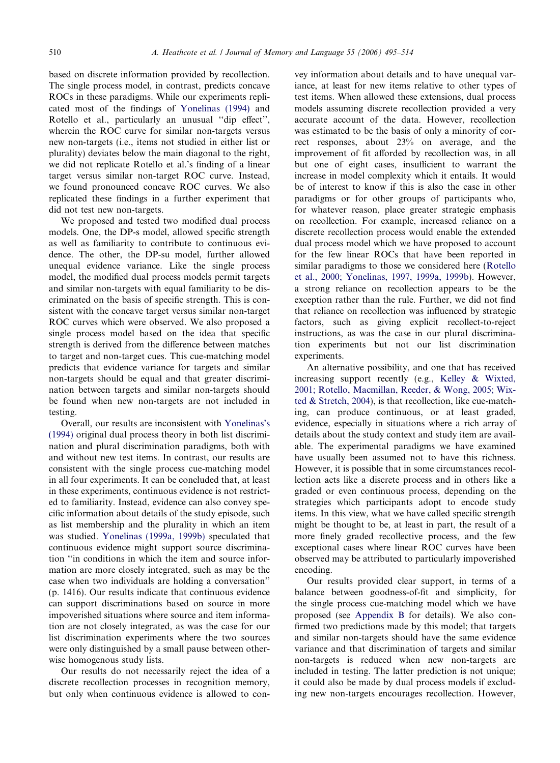based on discrete information provided by recollection. The single process model, in contrast, predicts concave ROCs in these paradigms. While our experiments replicated most of the findings of [Yonelinas \(1994\)](#page-19-0) and Rotello et al., particularly an unusual ''dip effect'', wherein the ROC curve for similar non-targets versus new non-targets (i.e., items not studied in either list or plurality) deviates below the main diagonal to the right, we did not replicate Rotello et al.'s finding of a linear target versus similar non-target ROC curve. Instead, we found pronounced concave ROC curves. We also replicated these findings in a further experiment that did not test new non-targets.

We proposed and tested two modified dual process models. One, the DP-s model, allowed specific strength as well as familiarity to contribute to continuous evidence. The other, the DP-su model, further allowed unequal evidence variance. Like the single process model, the modified dual process models permit targets and similar non-targets with equal familiarity to be discriminated on the basis of specific strength. This is consistent with the concave target versus similar non-target ROC curves which were observed. We also proposed a single process model based on the idea that specific strength is derived from the difference between matches to target and non-target cues. This cue-matching model predicts that evidence variance for targets and similar non-targets should be equal and that greater discrimination between targets and similar non-targets should be found when new non-targets are not included in testing.

Overall, our results are inconsistent with [Yonelinas's](#page-19-0) [\(1994\)](#page-19-0) original dual process theory in both list discrimination and plural discrimination paradigms, both with and without new test items. In contrast, our results are consistent with the single process cue-matching model in all four experiments. It can be concluded that, at least in these experiments, continuous evidence is not restricted to familiarity. Instead, evidence can also convey specific information about details of the study episode, such as list membership and the plurality in which an item was studied. [Yonelinas \(1999a, 1999b\)](#page-19-0) speculated that continuous evidence might support source discrimination ''in conditions in which the item and source information are more closely integrated, such as may be the case when two individuals are holding a conversation'' (p. 1416). Our results indicate that continuous evidence can support discriminations based on source in more impoverished situations where source and item information are not closely integrated, as was the case for our list discrimination experiments where the two sources were only distinguished by a small pause between otherwise homogenous study lists.

Our results do not necessarily reject the idea of a discrete recollection processes in recognition memory, but only when continuous evidence is allowed to convey information about details and to have unequal variance, at least for new items relative to other types of test items. When allowed these extensions, dual process models assuming discrete recollection provided a very accurate account of the data. However, recollection was estimated to be the basis of only a minority of correct responses, about 23% on average, and the improvement of fit afforded by recollection was, in all but one of eight cases, insufficient to warrant the increase in model complexity which it entails. It would be of interest to know if this is also the case in other paradigms or for other groups of participants who, for whatever reason, place greater strategic emphasis on recollection. For example, increased reliance on a discrete recollection process would enable the extended dual process model which we have proposed to account for the few linear ROCs that have been reported in similar paradigms to those we considered here [\(Rotello](#page-19-0) [et al., 2000; Yonelinas, 1997, 1999a, 1999b\)](#page-19-0). However, a strong reliance on recollection appears to be the exception rather than the rule. Further, we did not find that reliance on recollection was influenced by strategic factors, such as giving explicit recollect-to-reject instructions, as was the case in our plural discrimination experiments but not our list discrimination experiments.

An alternative possibility, and one that has received increasing support recently (e.g., [Kelley & Wixted,](#page-19-0) [2001; Rotello, Macmillan, Reeder, & Wong, 2005; Wix](#page-19-0)[ted & Stretch, 2004](#page-19-0)), is that recollection, like cue-matching, can produce continuous, or at least graded, evidence, especially in situations where a rich array of details about the study context and study item are available. The experimental paradigms we have examined have usually been assumed not to have this richness. However, it is possible that in some circumstances recollection acts like a discrete process and in others like a graded or even continuous process, depending on the strategies which participants adopt to encode study items. In this view, what we have called specific strength might be thought to be, at least in part, the result of a more finely graded recollective process, and the few exceptional cases where linear ROC curves have been observed may be attributed to particularly impoverished encoding.

Our results provided clear support, in terms of a balance between goodness-of-fit and simplicity, for the single process cue-matching model which we have proposed (see Appendix B for details). We also confirmed two predictions made by this model; that targets and similar non-targets should have the same evidence variance and that discrimination of targets and similar non-targets is reduced when new non-targets are included in testing. The latter prediction is not unique; it could also be made by dual process models if excluding new non-targets encourages recollection. However,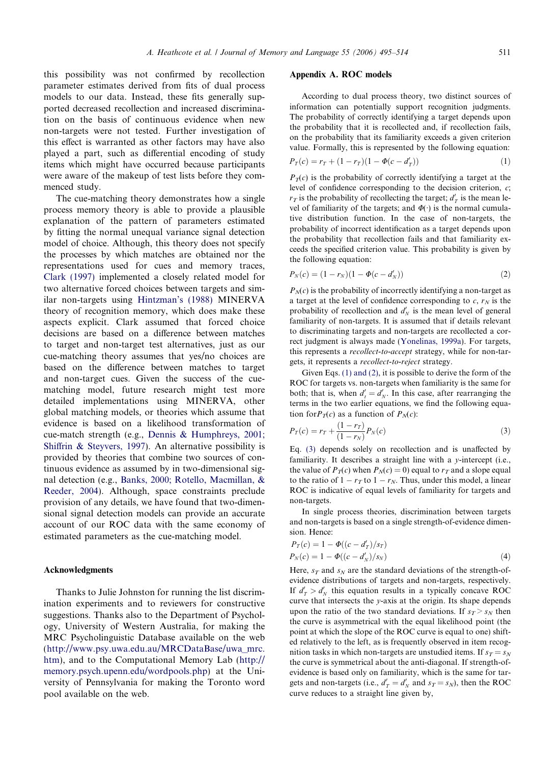this possibility was not confirmed by recollection parameter estimates derived from fits of dual process models to our data. Instead, these fits generally supported decreased recollection and increased discrimination on the basis of continuous evidence when new non-targets were not tested. Further investigation of this effect is warranted as other factors may have also played a part, such as differential encoding of study items which might have occurred because participants were aware of the makeup of test lists before they commenced study.

The cue-matching theory demonstrates how a single process memory theory is able to provide a plausible explanation of the pattern of parameters estimated by fitting the normal unequal variance signal detection model of choice. Although, this theory does not specify the processes by which matches are obtained nor the representations used for cues and memory traces, [Clark \(1997\)](#page-18-0) implemented a closely related model for two alternative forced choices between targets and similar non-targets using [Hintzman's \(1988\)](#page-19-0) MINERVA theory of recognition memory, which does make these aspects explicit. Clark assumed that forced choice decisions are based on a difference between matches to target and non-target test alternatives, just as our cue-matching theory assumes that yes/no choices are based on the difference between matches to target and non-target cues. Given the success of the cuematching model, future research might test more detailed implementations using MINERVA, other global matching models, or theories which assume that evidence is based on a likelihood transformation of cue-match strength (e.g., [Dennis & Humphreys, 2001;](#page-18-0) [Shiffrin & Steyvers, 1997](#page-18-0)). An alternative possibility is provided by theories that combine two sources of continuous evidence as assumed by in two-dimensional signal detection (e.g., [Banks, 2000; Rotello, Macmillan, &](#page-18-0) [Reeder, 2004\)](#page-18-0). Although, space constraints preclude provision of any details, we have found that two-dimensional signal detection models can provide an accurate account of our ROC data with the same economy of estimated parameters as the cue-matching model.

# Acknowledgments

Thanks to Julie Johnston for running the list discrimination experiments and to reviewers for constructive suggestions. Thanks also to the Department of Psychology, University of Western Australia, for making the MRC Psycholinguistic Database available on the web ([http://www.psy.uwa.edu.au/MRCDataBase/uwa\\_mrc.](http://www.psy.uwa.edu.au/MRCDataBase/uwa_mrc.htm) [htm\)](http://www.psy.uwa.edu.au/MRCDataBase/uwa_mrc.htm), and to the Computational Memory Lab ([http://](http://memory.psych.upenn.edu/wordpools.php) [memory.psych.upenn.edu/wordpools.php\)](http://memory.psych.upenn.edu/wordpools.php) at the University of Pennsylvania for making the Toronto word pool available on the web.

## Appendix A. ROC models

According to dual process theory, two distinct sources of information can potentially support recognition judgments. The probability of correctly identifying a target depends upon the probability that it is recollected and, if recollection fails, on the probability that its familiarity exceeds a given criterion value. Formally, this is represented by the following equation:

$$
P_T(c) = r_T + (1 - r_T)(1 - \Phi(c - d'_T))
$$
\n(1)

 $P_T(c)$  is the probability of correctly identifying a target at the level of confidence corresponding to the decision criterion, c;  $r<sub>T</sub>$  is the probability of recollecting the target;  $d'_{T}$  is the mean level of familiarity of the targets; and  $\Phi(\cdot)$  is the normal cumulative distribution function. In the case of non-targets, the probability of incorrect identification as a target depends upon the probability that recollection fails and that familiarity exceeds the specified criterion value. This probability is given by the following equation:

$$
P_N(c) = (1 - r_N)(1 - \Phi(c - d'_N))
$$
\n(2)

 $P_N(c)$  is the probability of incorrectly identifying a non-target as a target at the level of confidence corresponding to  $c, r_N$  is the probability of recollection and  $d'_{N}$  is the mean level of general familiarity of non-targets. It is assumed that if details relevant to discriminating targets and non-targets are recollected a correct judgment is always made ([Yonelinas, 1999a\)](#page-19-0). For targets, this represents a recollect-to-accept strategy, while for non-targets, it represents a recollect-to-reject strategy.

Given Eqs. (1) and (2), it is possible to derive the form of the ROC for targets vs. non-targets when familiarity is the same for both; that is, when  $d'_t = d'_{N}$ . In this case, after rearranging the terms in the two earlier equations, we find the following equation for  $P_T(c)$  as a function of  $P_N(c)$ :

$$
P_T(c) = r_T + \frac{(1 - r_T)}{(1 - r_N)} P_N(c)
$$
\n(3)

Eq. (3) depends solely on recollection and is unaffected by familiarity. It describes a straight line with a  $\nu$ -intercept (i.e., the value of  $P_T(c)$  when  $P_N(c) = 0$ ) equal to  $r_T$  and a slope equal to the ratio of  $1 - r<sub>T</sub>$  to  $1 - r<sub>N</sub>$ . Thus, under this model, a linear ROC is indicative of equal levels of familiarity for targets and non-targets.

In single process theories, discrimination between targets and non-targets is based on a single strength-of-evidence dimension. Hence:

$$
P_T(c) = 1 - \Phi((c - d'_T)/s_T)
$$
  
\n
$$
P_N(c) = 1 - \Phi((c - d'_N)/s_N)
$$
\n(4)

Here,  $s_T$  and  $s_N$  are the standard deviations of the strength-ofevidence distributions of targets and non-targets, respectively. If  $d'_T > d'_N$  this equation results in a typically concave ROC curve that intersects the y-axis at the origin. Its shape depends upon the ratio of the two standard deviations. If  $s_T > s_N$  then the curve is asymmetrical with the equal likelihood point (the point at which the slope of the ROC curve is equal to one) shifted relatively to the left, as is frequently observed in item recognition tasks in which non-targets are unstudied items. If  $s_T = s_N$ the curve is symmetrical about the anti-diagonal. If strength-ofevidence is based only on familiarity, which is the same for targets and non-targets (i.e.,  $d'_T = d'_N$  and  $s_T = s_N$ ), then the ROC curve reduces to a straight line given by,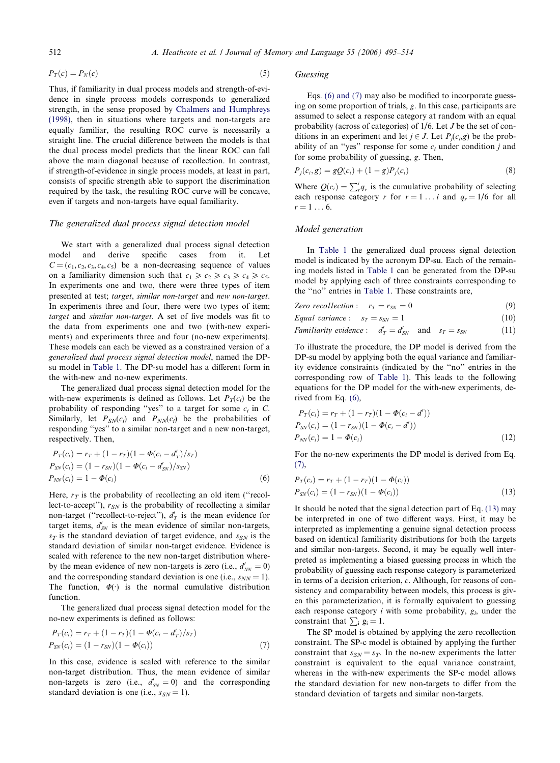$$
P_T(c) = P_N(c) \tag{5}
$$

Thus, if familiarity in dual process models and strength-of-evidence in single process models corresponds to generalized strength, in the sense proposed by [Chalmers and Humphreys](#page-18-0) [\(1998\),](#page-18-0) then in situations where targets and non-targets are equally familiar, the resulting ROC curve is necessarily a straight line. The crucial difference between the models is that the dual process model predicts that the linear ROC can fall above the main diagonal because of recollection. In contrast, if strength-of-evidence in single process models, at least in part, consists of specific strength able to support the discrimination required by the task, the resulting ROC curve will be concave, even if targets and non-targets have equal familiarity.

#### The generalized dual process signal detection model

We start with a generalized dual process signal detection model and derive specific cases from it. Let  $C = (c_1, c_2, c_3, c_4, c_5)$  be a non-decreasing sequence of values on a familiarity dimension such that  $c_1 \ge c_2 \ge c_3 \ge c_4 \ge c_5$ . In experiments one and two, there were three types of item presented at test; target, similar non-target and new non-target. In experiments three and four, there were two types of item; target and similar non-target. A set of five models was fit to the data from experiments one and two (with-new experiments) and experiments three and four (no-new experiments). These models can each be viewed as a constrained version of a generalized dual process signal detection model, named the DPsu model in [Table 1.](#page-6-0) The DP-su model has a different form in the with-new and no-new experiments.

The generalized dual process signal detection model for the with-new experiments is defined as follows. Let  $P_T(c_i)$  be the probability of responding "yes" to a target for some  $c_i$  in C. Similarly, let  $P_{SN}(c_i)$  and  $P_{NN}(c_i)$  be the probabilities of responding ''yes'' to a similar non-target and a new non-target, respectively. Then,

$$
P_T(c_i) = r_T + (1 - r_T)(1 - \Phi(c_i - d'_T)/s_T)
$$
  
\n
$$
P_{SN}(c_i) = (1 - r_{SN})(1 - \Phi(c_i - d'_{SN})/s_{SN})
$$
  
\n
$$
P_{NN}(c_i) = 1 - \Phi(c_i)
$$
\n(6)

Here,  $r<sub>T</sub>$  is the probability of recollecting an old item ("recollect-to-accept''),  $r_{SN}$  is the probability of recollecting a similar non-target ("recollect-to-reject"),  $d'_T$  is the mean evidence for target items,  $d'_{SN}$  is the mean evidence of similar non-targets,  $s_T$  is the standard deviation of target evidence, and  $s_{SN}$  is the standard deviation of similar non-target evidence. Evidence is scaled with reference to the new non-target distribution whereby the mean evidence of new non-targets is zero (i.e.,  $d'_{NN} = 0$ ) and the corresponding standard deviation is one (i.e.,  $s_{NN} = 1$ ). The function,  $\Phi(\cdot)$  is the normal cumulative distribution function.

The generalized dual process signal detection model for the no-new experiments is defined as follows:

$$
P_T(c_i) = r_T + (1 - r_T)(1 - \Phi(c_i - d'_T)/s_T)
$$
  
\n
$$
P_{SN}(c_i) = (1 - r_{SN})(1 - \Phi(c_i))
$$
\n(7)

In this case, evidence is scaled with reference to the similar non-target distribution. Thus, the mean evidence of similar non-targets is zero (i.e.,  $d'_{SN} = 0$ ) and the corresponding standard deviation is one (i.e.,  $s_{SN} = 1$ ).

#### Guessing

Eqs. (6) and (7) may also be modified to incorporate guessing on some proportion of trials, g. In this case, participants are assumed to select a response category at random with an equal probability (across of categories) of 1/6. Let J be the set of conditions in an experiment and let  $j \in J$ . Let  $P_i(c_i,g)$  be the probability of an "yes" response for some  $c_i$  under condition j and for some probability of guessing, g. Then,

$$
P_j(c_i, g) = gQ(c_i) + (1 - g)P_j(c_i)
$$
\n(8)

Where  $Q(c_i) = \sum_i^i q_i$  is the cumulative probability of selecting each response category r for  $r = 1 \dots i$  and  $q_r = 1/6$  for all  $r = 1 \dots 6$ .

#### Model generation

In [Table 1](#page-6-0) the generalized dual process signal detection model is indicated by the acronym DP-su. Each of the remaining models listed in [Table 1](#page-6-0) can be generated from the DP-su model by applying each of three constraints corresponding to the ''no'' entries in [Table 1.](#page-6-0) These constraints are,

$$
Zero\ recollection: \quad r_T = r_{SN} = 0 \tag{9}
$$

$$
Equal \ variance: s_T = s_{SN} = 1 \tag{10}
$$

*Family evidence*: 
$$
d'_T = d'_{SN}
$$
 and  $s_T = s_{SN}$  (11)

To illustrate the procedure, the DP model is derived from the DP-su model by applying both the equal variance and familiarity evidence constraints (indicated by the ''no'' entries in the corresponding row of [Table 1\)](#page-6-0). This leads to the following equations for the DP model for the with-new experiments, derived from Eq. (6),

$$
P_T(c_i) = r_T + (1 - r_T)(1 - \Phi(c_i - d'))
$$
  
\n
$$
P_{SN}(c_i) = (1 - r_{SN})(1 - \Phi(c_i - d'))
$$
  
\n
$$
P_{NN}(c_i) = 1 - \Phi(c_i)
$$
\n(12)

For the no-new experiments the DP model is derived from Eq.  $(7)$ .

$$
P_T(c_i) = r_T + (1 - r_T)(1 - \Phi(c_i))
$$
  
\n
$$
P_{SN}(c_i) = (1 - r_{SN})(1 - \Phi(c_i))
$$
\n(13)

It should be noted that the signal detection part of Eq. (13) may be interpreted in one of two different ways. First, it may be interpreted as implementing a genuine signal detection process based on identical familiarity distributions for both the targets and similar non-targets. Second, it may be equally well interpreted as implementing a biased guessing process in which the probability of guessing each response category is parameterized in terms of a decision criterion, c. Although, for reasons of consistency and comparability between models, this process is given this parameterization, it is formally equivalent to guessing each response category  $i$  with some probability,  $g_i$ , under the constraint that  $\sum_i g_i = 1$ .

The SP model is obtained by applying the zero recollection constraint. The SP-c model is obtained by applying the further constraint that  $s_{SN} = s_T$ . In the no-new experiments the latter constraint is equivalent to the equal variance constraint, whereas in the with-new experiments the SP-c model allows the standard deviation for new non-targets to differ from the standard deviation of targets and similar non-targets.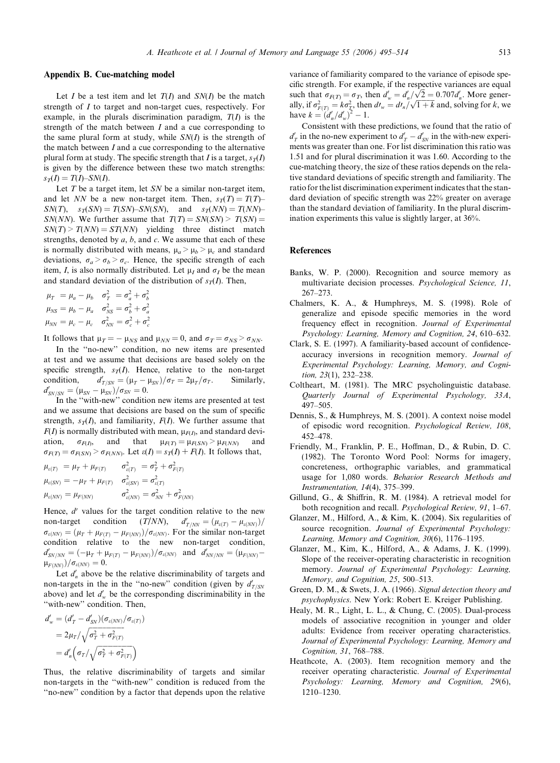#### <span id="page-18-0"></span>Appendix B. Cue-matching model

Let I be a test item and let  $T(I)$  and  $SN(I)$  be the match strength of I to target and non-target cues, respectively. For example, in the plurals discrimination paradigm,  $T(I)$  is the strength of the match between  $I$  and a cue corresponding to the same plural form at study, while  $SN(I)$  is the strength of the match between  $I$  and a cue corresponding to the alternative plural form at study. The specific strength that *I* is a target,  $s_{\tau}(I)$ is given by the difference between these two match strengths:  $s_{\tau}(I) = T(I) - SN(I).$ 

Let  $T$  be a target item, let  $SN$  be a similar non-target item. and let NN be a new non-target item. Then,  $s_T(T) = T(T)$ –  $SN(T)$ ,  $s_T(SN) = T(SN) - SN(SN)$ , and  $s_T(NN) = T(NN) -$ SN(NN). We further assume that  $T(T) = SN(SN) > T(SN) =$  $SN(T) > T(NN) = ST(NN)$  yielding three distinct match strengths, denoted by  $a, b$ , and  $c$ . We assume that each of these is normally distributed with means,  $\mu_a > \mu_b > \mu_c$  and standard deviations,  $\sigma_a > \sigma_b > \sigma_c$ . Hence, the specific strength of each item, *I*, is also normally distributed. Let  $\mu_I$  and  $\sigma_I$  be the mean and standard deviation of the distribution of  $s<sub>T</sub>(I)$ . Then,

$$
\mu_T = \mu_a - \mu_b \quad \sigma_T^2 = \sigma_a^2 + \sigma_b^2 \n\mu_{NS} = \mu_b - \mu_a \quad \sigma_{NS}^2 = \sigma_b^2 + \sigma_a^2 \n\mu_{NN} = \mu_c - \mu_c \quad \sigma_{NN}^2 = \sigma_c^2 + \sigma_c^2
$$

It follows that  $\mu_T = -\mu_{NS}$  and  $\mu_{NN} = 0$ , and  $\sigma_T = \sigma_{NS} > \sigma_{NN}$ .

In the ''no-new'' condition, no new items are presented at test and we assume that decisions are based solely on the specific strength,  $s_T(I)$ . Hence, relative to the non-target<br>condition.  $d'_{\tau} = (u_{\tau} - u_{\tau})/\sigma_{\tau} = 2u_{\tau}/\sigma_{\tau}$ . Similarly. condition,  $\mathcal{J}_{T/SN} = (\mu_T - \mu_{SN})/\sigma_T = 2\mu_T/\sigma_T.$  Similarly,  $d^{\prime}_{\mathit{SN}/\mathit{SN}}=(\mu_{\mathit{SN}}-\mu^{'}_{\mathit{SN}})/\sigma_{\mathit{SN}}=0.$ 

In the ''with-new'' condition new items are presented at test and we assume that decisions are based on the sum of specific strength,  $s_T(I)$ , and familiarity,  $F(I)$ . We further assume that  $F(I)$  is normally distributed with mean,  $\mu_{F(I)}$ , and standard deviation,  $\sigma_{F(I)}$ , and that  $\mu_{F(I)} = \mu_{F(SN)} > \mu_{F(NN)}$  and  $\sigma_{F(T)} = \sigma_{F(SN)} > \sigma_{F(NN)}$ . Let  $\varepsilon(I) = s_T(I) + F(I)$ . It follows that,

$$
\mu_{e(T)} = \mu_T + \mu_{F(T)} \qquad \sigma_{e(T)}^2 = \sigma_T^2 + \sigma_{F(T)}^2 \n\mu_{e(SN)} = -\mu_T + \mu_{F(T)} \qquad \sigma_{e(SN)}^2 = \sigma_{e(T)}^2 \n\mu_{e(NN)} = \mu_{F(NN)} \qquad \sigma_{e(NN)}^2 = \sigma_{NN}^2 + \sigma_{F(NN)}^2
$$

Hence,  $d'$  values for the target condition relative to the new non-target condition  $(T/NN)$ ,  $d'_{T/NN} = (\mu_{\varepsilon(T)} - \mu_{\varepsilon(NN)})/$  $\sigma_{\varepsilon(NN)} = (\mu_T + \mu_{F(T)} - \mu_{F(NN)})/\sigma_{\varepsilon(NN)}$ . For the similar non-target condition relative to the new non-target condition,  $d'_{SN/NN} = (-\mu_T + \mu_{F(T)} - \mu_{F(NN)})/\sigma_{\varepsilon(NN)}$  and  $d'_{NN/NN} = (\mu_{F(NN)} - \mu_{F(NN)})$  $\mu_{F(NN)})/\sigma_{\varepsilon(NN)}=0.$ 

Let  $d'_n$  above be the relative discriminability of targets and non-targets in the in the "no-new" condition (given by  $d'_{T/SN}$ above) and let  $d'_{w}$  be the corresponding discriminability in the "with-new" condition. Then,

$$
d'_{w} = (d'_{T} - d'_{SN})(\sigma_{\varepsilon(NN)}/\sigma_{\varepsilon(T)})
$$
  
=  $2\mu_{T}/\sqrt{\sigma_{T}^{2} + \sigma_{F(T)}^{2}}$   
=  $d'_{n}(\sigma_{T}/\sqrt{\sigma_{T}^{2} + \sigma_{F(T)}^{2}})$ 

Thus, the relative discriminability of targets and similar non-targets in the ''with-new'' condition is reduced from the ''no-new'' condition by a factor that depends upon the relative variance of familiarity compared to the variance of episode specific strength. For example, if the respective variances are equal such that  $\sigma_{F(T)} = \sigma_T$ , then  $d'_w = d'_n / \sqrt{2} = 0.707d'_n$ . More genersuch that  $\partial F(t) = \partial T$ , then  $d_w = \frac{a_n}{\sqrt{2}} \times \frac{b_n}{\sqrt{1+k}}$  and, solving for k, we ally, if  $\sigma_{F(T)}^2 = k \sigma_{T}^2$ , then  $dV_w = \frac{dI_n}{\sqrt{1+k}}$  and, solving for k, we have  $k = (d'_n/d'_w)^2 - 1$ .

Consistent with these predictions, we found that the ratio of  $d'_T$  in the no-new experiment to  $d'_T - d'_{SN}$  in the with-new experiments was greater than one. For list discrimination this ratio was 1.51 and for plural discrimination it was 1.60. According to the cue-matching theory, the size of these ratios depends on the relative standard deviations of specific strength and familiarity. The ratio for the list discrimination experiment indicates that the standard deviation of specific strength was 22% greater on average than the standard deviation of familiarity. In the plural discrimination experiments this value is slightly larger, at 36%.

#### References

- Banks, W. P. (2000). Recognition and source memory as multivariate decision processes. Psychological Science, 11, 267–273.
- Chalmers, K. A., & Humphreys, M. S. (1998). Role of generalize and episode specific memories in the word frequency effect in recognition. Journal of Experimental Psychology: Learning, Memory and Cognition, 24, 610–632.
- Clark, S. E. (1997). A familiarity-based account of confidenceaccuracy inversions in recognition memory. Journal of Experimental Psychology: Learning, Memory, and Cognition, 23(1), 232–238.
- Coltheart, M. (1981). The MRC psycholinguistic database. Quarterly Journal of Experimental Psychology, 33A, 497–505.
- Dennis, S., & Humphreys, M. S. (2001). A context noise model of episodic word recognition. Psychological Review, 108, 452–478.
- Friendly, M., Franklin, P. E., Hoffman, D., & Rubin, D. C. (1982). The Toronto Word Pool: Norms for imagery, concreteness, orthographic variables, and grammatical usage for 1,080 words. Behavior Research Methods and Instrumentation, 14(4), 375–399.
- Gillund, G., & Shiffrin, R. M. (1984). A retrieval model for both recognition and recall. Psychological Review, 91, 1–67.
- Glanzer, M., Hilford, A., & Kim, K. (2004). Six regularities of source recognition. Journal of Experimental Psychology: Learning, Memory and Cognition, 30(6), 1176–1195.
- Glanzer, M., Kim, K., Hilford, A., & Adams, J. K. (1999). Slope of the receiver-operating characteristic in recognition memory. Journal of Experimental Psychology: Learning, Memory, and Cognition, 25, 500–513.
- Green, D. M., & Swets, J. A. (1966). Signal detection theory and psychophysics. New York: Robert E. Kreiger Publishing.
- Healy, M. R., Light, L. L., & Chung, C. (2005). Dual-process models of associative recognition in younger and older adults: Evidence from receiver operating characteristics. Journal of Experimental Psychology: Learning, Memory and Cognition, 31, 768–788.
- Heathcote, A. (2003). Item recognition memory and the receiver operating characteristic. Journal of Experimental Psychology: Learning, Memory and Cognition, 29(6), 1210–1230.